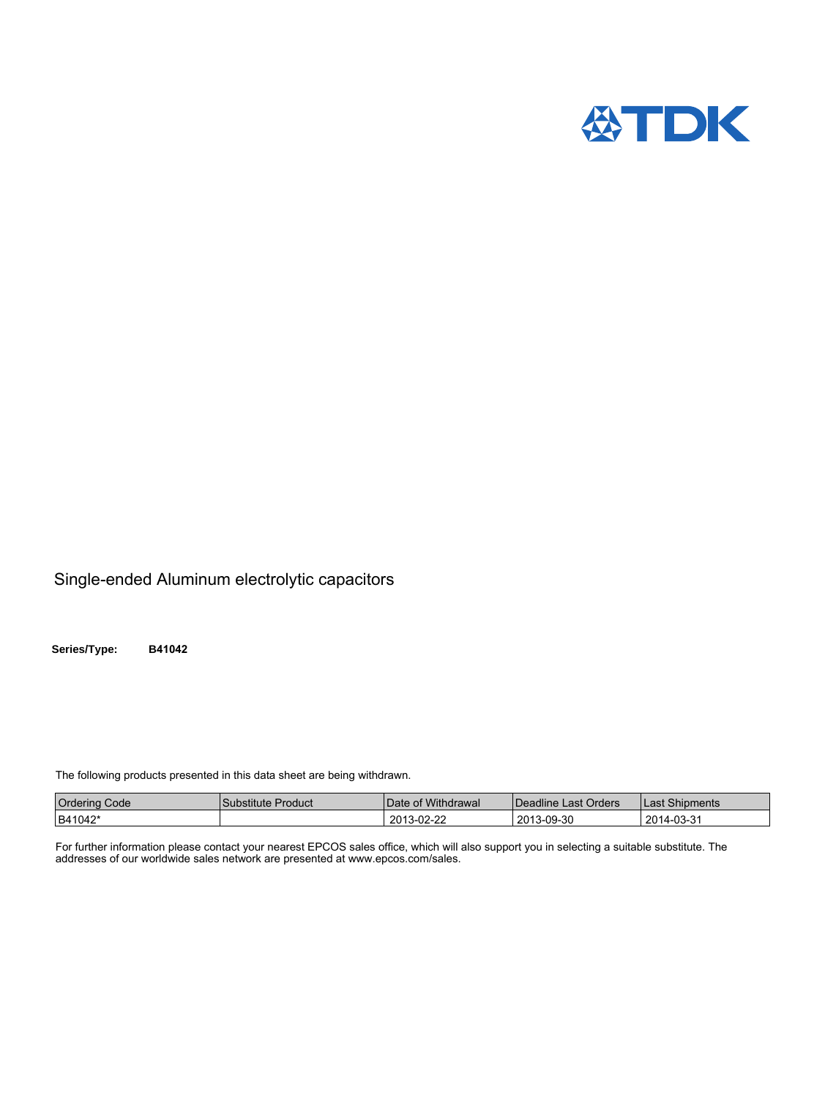

## Single-ended Aluminum electrolytic capacitors

**Series/Type: B41042**

The following products presented in this data sheet are being withdrawn.

| <b>Ordering Code</b> | l Substitute Product | Date of Withdrawal | Deadline Last Orders | Last Shipments |
|----------------------|----------------------|--------------------|----------------------|----------------|
| B41042*              |                      | 2013-02-22         | 2013-09-30           | 2014-03-31     |

For further information please contact your nearest EPCOS sales office, which will also support you in selecting a suitable substitute. The addresses of our worldwide sales network are presented at www.epcos.com/sales.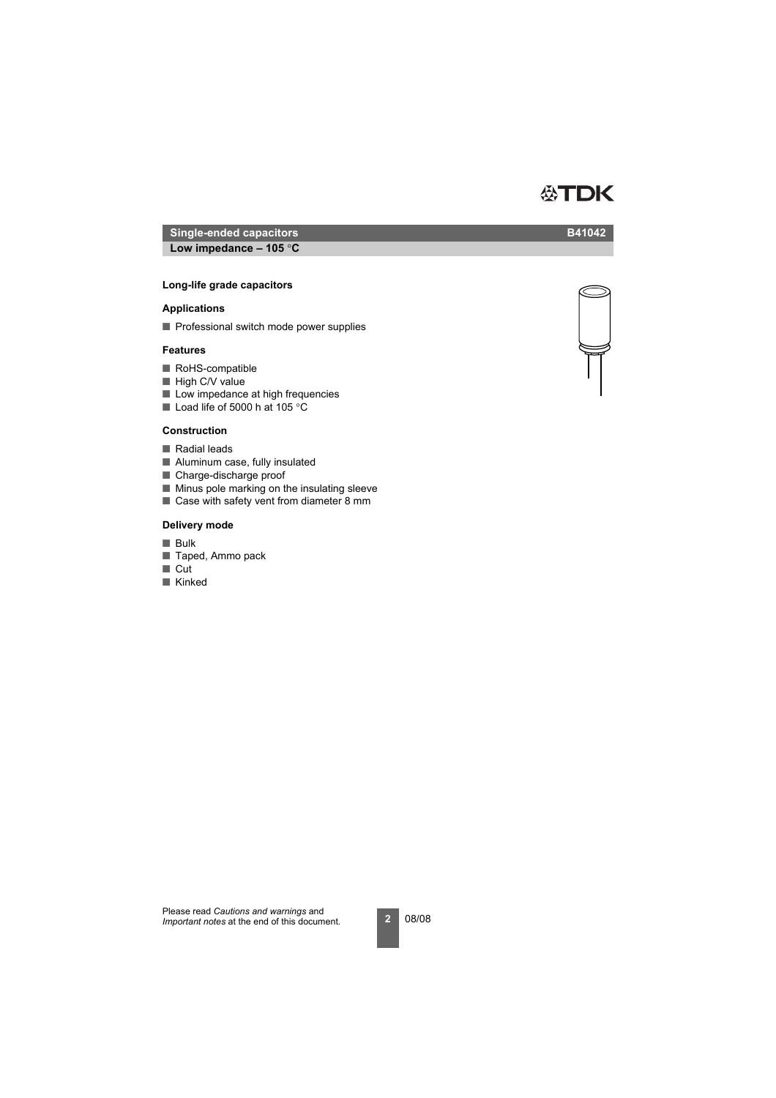## **Single-ended capacitors B41042 Low impedance – 105** °**C**

## **Long-life grade capacitors Low impedance – 105** °**C**

## **Applications**

■ Professional switch mode power supplies

## **Features**

- RoHS-compatible
- High C/V value
- Low impedance at high frequencies
- Load life of 5000 h at 105 °C

## **Construction**

- Radial leads
- Aluminum case, fully insulated
- Charge-discharge proof
- Minus pole marking on the insulating sleeve
- Case with safety vent from diameter 8 mm

## **Delivery mode**

- Bulk
- Taped, Ammo pack
- Cut
- Kinked



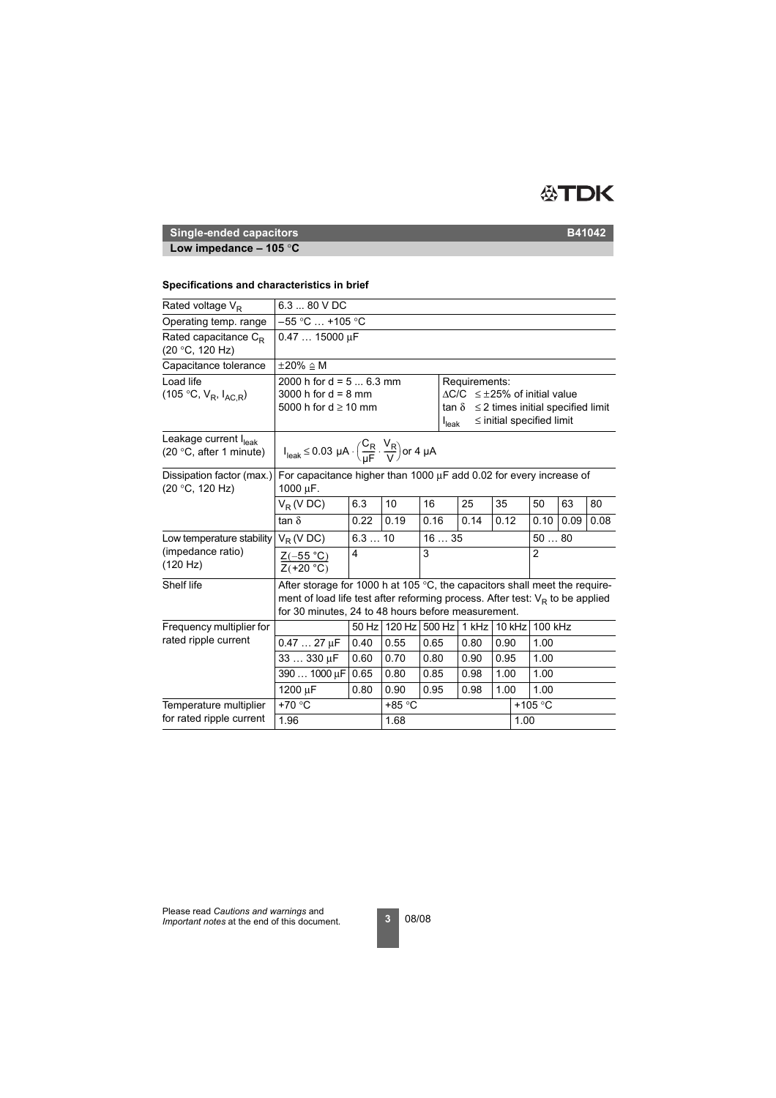

## **Low impedance – 105** °**C**

## **Specifications and characteristics in brief**

| Rated voltage $V_R$                                          | 6.3  80 V DC                                                                                                                                                                                                                 |                                                                                                                                                                                                                                                           |        |        |  |       |      |        |                  |      |      |
|--------------------------------------------------------------|------------------------------------------------------------------------------------------------------------------------------------------------------------------------------------------------------------------------------|-----------------------------------------------------------------------------------------------------------------------------------------------------------------------------------------------------------------------------------------------------------|--------|--------|--|-------|------|--------|------------------|------|------|
| Operating temp. range                                        |                                                                                                                                                                                                                              | $-55$ °C $\ldots$ +105 °C                                                                                                                                                                                                                                 |        |        |  |       |      |        |                  |      |      |
| Rated capacitance $C_{\rm P}$<br>(20 °C, 120 Hz)             | $0.4715000 \mu F$                                                                                                                                                                                                            |                                                                                                                                                                                                                                                           |        |        |  |       |      |        |                  |      |      |
| Capacitance tolerance                                        | $\pm 20\% \triangleq M$                                                                                                                                                                                                      |                                                                                                                                                                                                                                                           |        |        |  |       |      |        |                  |      |      |
| Load life<br>(105 °C, $V_R$ , $I_{AC,R}$ )                   |                                                                                                                                                                                                                              | 2000 h for $d = 56.3$ mm<br>Requirements:<br>3000 h for $d = 8$ mm<br>$\Delta$ C/C $\leq \pm 25\%$ of initial value<br>5000 h for $d \ge 10$ mm<br>$\leq$ 2 times initial specified limit<br>tan δ<br>$\leq$ initial specified limit<br>$I_{\text{leak}}$ |        |        |  |       |      |        |                  |      |      |
| Leakage current I <sub>leak</sub><br>(20 °C, after 1 minute) |                                                                                                                                                                                                                              | $I_{\text{leak}} \le 0.03 \ \mu A \cdot \left(\frac{C_R}{\mu F} \cdot \frac{V_R}{V}\right)$ or 4 $\mu A$                                                                                                                                                  |        |        |  |       |      |        |                  |      |      |
| Dissipation factor (max.)<br>(20 °C, 120 Hz)                 | For capacitance higher than 1000 $\mu$ F add 0.02 for every increase of<br>1000 $\mu$ F.                                                                                                                                     |                                                                                                                                                                                                                                                           |        |        |  |       |      |        |                  |      |      |
|                                                              | $V_R$ (V DC)                                                                                                                                                                                                                 | 6.3                                                                                                                                                                                                                                                       | 10     | 16     |  | 25    | 35   |        | 50               | 63   | 80   |
|                                                              | tan $\delta$                                                                                                                                                                                                                 | 0.22                                                                                                                                                                                                                                                      | 0.19   | 0.16   |  | 0.14  | 0.12 |        | 0.10             | 0.09 | 0.08 |
| Low temperature stability                                    | $V_R$ (V DC)                                                                                                                                                                                                                 | 1635<br>6.310                                                                                                                                                                                                                                             |        |        |  |       | 5080 |        |                  |      |      |
| (impedance ratio)<br>(120 Hz)                                | $\frac{Z(-55 °C)}{Z(+20 °C)}$                                                                                                                                                                                                | 4                                                                                                                                                                                                                                                         |        | 3      |  |       |      |        | $\overline{2}$   |      |      |
| Shelf life                                                   | After storage for 1000 h at 105 $\degree$ C, the capacitors shall meet the require-<br>ment of load life test after reforming process. After test: $V_R$ to be applied<br>for 30 minutes, 24 to 48 hours before measurement. |                                                                                                                                                                                                                                                           |        |        |  |       |      |        |                  |      |      |
| Frequency multiplier for                                     |                                                                                                                                                                                                                              | 50 Hz                                                                                                                                                                                                                                                     | 120 Hz | 500 Hz |  | 1 kHz |      | 10 kHz | 100 kHz          |      |      |
| rated ripple current                                         | $0.4727 \mu F$                                                                                                                                                                                                               | 0.40                                                                                                                                                                                                                                                      | 0.55   | 0.65   |  | 0.80  | 0.90 |        | 1.00             |      |      |
|                                                              | 33  330 µF                                                                                                                                                                                                                   | 0.60                                                                                                                                                                                                                                                      | 0.70   | 0.80   |  | 0.90  | 0.95 |        | 1.00             |      |      |
|                                                              | 390  1000 µF                                                                                                                                                                                                                 | 0.65                                                                                                                                                                                                                                                      | 0.80   | 0.85   |  | 0.98  | 1.00 |        | 1.00             |      |      |
|                                                              | 1200 µF                                                                                                                                                                                                                      | 0.80                                                                                                                                                                                                                                                      | 0.90   | 0.95   |  | 0.98  | 1.00 |        | 1.00             |      |      |
| Temperature multiplier                                       | +70 °C                                                                                                                                                                                                                       |                                                                                                                                                                                                                                                           | +85 °C |        |  |       |      |        | +105 $\degree$ C |      |      |
| for rated ripple current                                     | 1.96                                                                                                                                                                                                                         |                                                                                                                                                                                                                                                           | 1.68   |        |  |       |      | 1.00   |                  |      |      |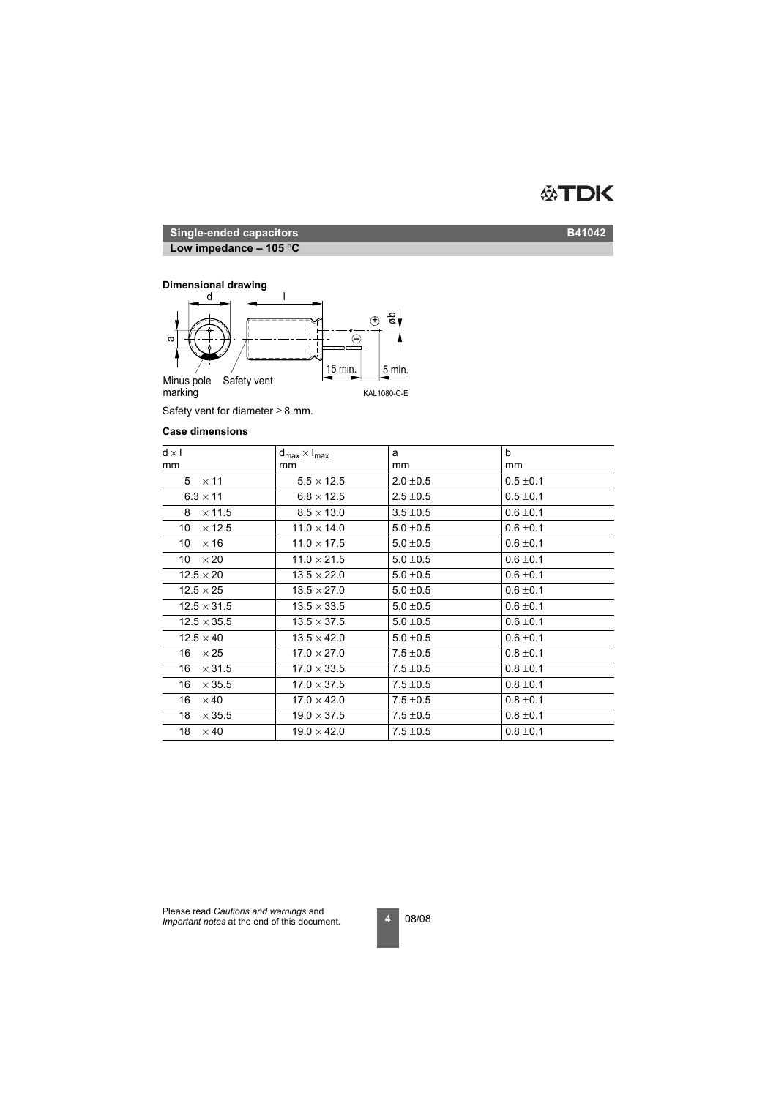

**Low impedance – 105** °**C**

## **Dimensional drawing**



Safety vent for diameter  $\geq 8$  mm.

#### **Case dimensions**

| $d \times l$        | $d_{\text{max}} \times I_{\text{max}}$ | a             | b             |
|---------------------|----------------------------------------|---------------|---------------|
| mm                  | mm                                     | mm            | mm            |
| $5 \times 11$       | $5.5 \times 12.5$                      | $2.0 \pm 0.5$ | $0.5 \pm 0.1$ |
| $6.3 \times 11$     | $6.8 \times 12.5$                      | $2.5 \pm 0.5$ | $0.5 \pm 0.1$ |
| $\times$ 11.5<br>8  | $8.5 \times 13.0$                      | $3.5 \pm 0.5$ | $0.6 \pm 0.1$ |
| $\times$ 12.5<br>10 | $11.0 \times 14.0$                     | $5.0 \pm 0.5$ | $0.6 \pm 0.1$ |
| 10<br>$\times$ 16   | $11.0 \times 17.5$                     | $5.0 \pm 0.5$ | $0.6 \pm 0.1$ |
| $\times 20$<br>10   | $11.0 \times 21.5$                     | $5.0 \pm 0.5$ | $0.6 \pm 0.1$ |
| $12.5 \times 20$    | $13.5 \times 22.0$                     | $5.0 \pm 0.5$ | $0.6 \pm 0.1$ |
| $12.5 \times 25$    | $13.5 \times 27.0$                     | $5.0 \pm 0.5$ | $0.6 \pm 0.1$ |
| $12.5 \times 31.5$  | $13.5 \times 33.5$                     | $5.0 \pm 0.5$ | $0.6 \pm 0.1$ |
| $12.5 \times 35.5$  | $13.5 \times 37.5$                     | $5.0 \pm 0.5$ | $0.6 \pm 0.1$ |
| $12.5 \times 40$    | $13.5 \times 42.0$                     | $5.0 \pm 0.5$ | $0.6 \pm 0.1$ |
| $16 \times 25$      | $17.0 \times 27.0$                     | $7.5 \pm 0.5$ | $0.8 \pm 0.1$ |
| $\times$ 31.5<br>16 | $17.0 \times 33.5$                     | $7.5 \pm 0.5$ | $0.8 \pm 0.1$ |
| $\times$ 35.5<br>16 | $17.0 \times 37.5$                     | $7.5 \pm 0.5$ | $0.8 \pm 0.1$ |
| $\times$ 40<br>16   | $17.0 \times 42.0$                     | $7.5 \pm 0.5$ | $0.8 \pm 0.1$ |
| 18<br>$\times$ 35.5 | $19.0 \times 37.5$                     | $7.5 \pm 0.5$ | $0.8 \pm 0.1$ |
| 18<br>$\times$ 40   | $19.0 \times 42.0$                     | $7.5 \pm 0.5$ | $0.8 \pm 0.1$ |
|                     |                                        |               |               |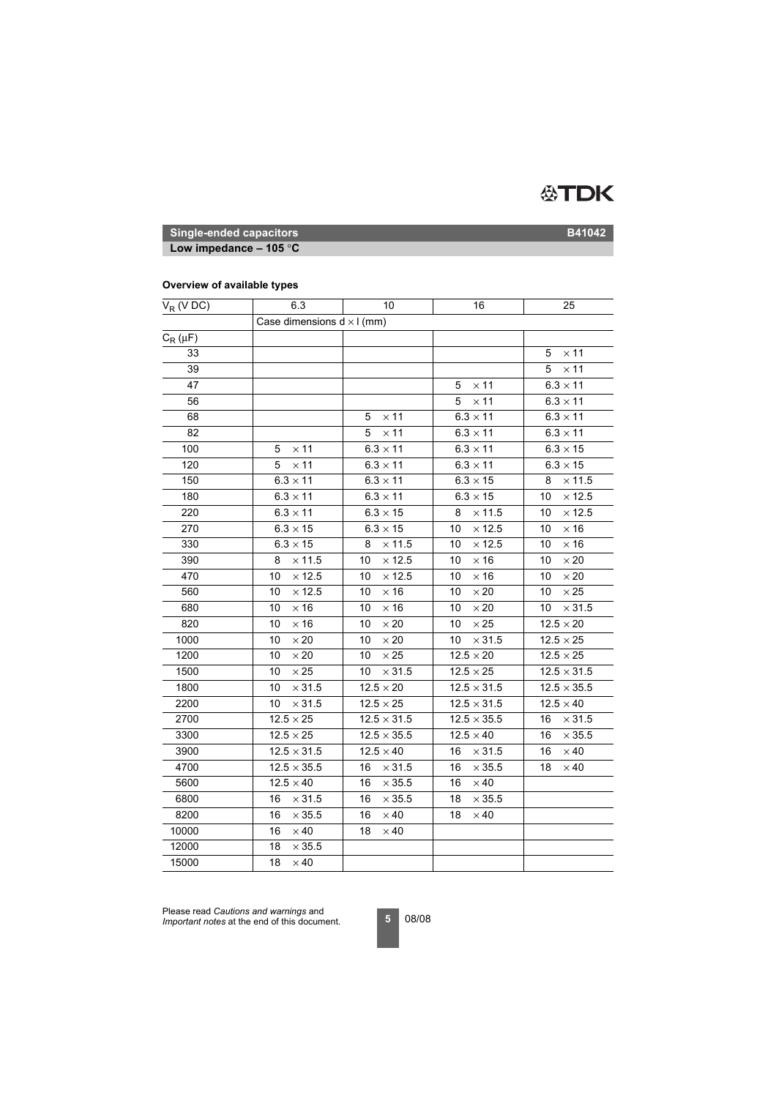

**Low impedance – 105** °**C**

## **Overview of available types**

| $V_R$ (V DC) | 6.3                 | 10                                | 16                  | 25                  |  |  |
|--------------|---------------------|-----------------------------------|---------------------|---------------------|--|--|
|              |                     | Case dimensions $d \times l$ (mm) |                     |                     |  |  |
| $C_R(\mu F)$ |                     |                                   |                     |                     |  |  |
| 33           |                     |                                   |                     | $\times$ 11<br>5    |  |  |
| 39           |                     |                                   |                     | $\times$ 11<br>5    |  |  |
| 47           |                     |                                   | $\times$ 11<br>5    | $6.3 \times 11$     |  |  |
| 56           |                     |                                   | $\times$ 11<br>5    | $6.3 \times 11$     |  |  |
| 68           |                     | $\times$ 11<br>5                  | $6.3 \times 11$     | $6.3 \times 11$     |  |  |
| 82           |                     | 5<br>$\times$ 11                  | $6.3 \times 11$     | $6.3 \times 11$     |  |  |
| 100          | $\times$ 11<br>5    | $6.3 \times 11$                   | $6.3 \times 11$     | $6.3 \times 15$     |  |  |
| 120          | $\times$ 11<br>5    | $6.3 \times 11$                   | $6.3 \times 11$     | $6.3\times15$       |  |  |
| 150          | $6.3 \times 11$     | $6.3 \times 11$                   | $6.3 \times 15$     | $\times$ 11.5<br>8  |  |  |
| 180          | $6.3 \times 11$     | $6.3 \times 11$                   | $6.3\times15$       | $\times$ 12.5<br>10 |  |  |
| 220          | $6.3 \times 11$     | $6.3\times15$                     | 8<br>$\times$ 11.5  | $\times$ 12.5<br>10 |  |  |
| 270          | $6.3 \times 15$     | $6.3 \times 15$                   | $\times$ 12.5<br>10 | $\times$ 16<br>10   |  |  |
| 330          | $6.3 \times 15$     | $\times$ 11.5<br>8                | $\times$ 12.5<br>10 | $\times$ 16<br>10   |  |  |
| 390          | $\times$ 11.5<br>8  | $\times$ 12.5<br>10               | $\times$ 16<br>10   | $\times$ 20<br>10   |  |  |
| 470          | $\times$ 12.5<br>10 | $\times$ 12.5<br>10               | 10<br>$\times$ 16   | $\times 20$<br>10   |  |  |
| 560          | $\times$ 12.5<br>10 | 10<br>$\times$ 16                 | $\times 20$<br>10   | $\times 25$<br>10   |  |  |
| 680          | $\times$ 16<br>10   | $\times$ 16<br>10                 | 10<br>$\times 20$   | $\times$ 31.5<br>10 |  |  |
| 820          | $\times$ 16<br>10   | 10<br>$\times\,20$                | $\times 25$<br>10   | $12.5 \times 20$    |  |  |
| 1000         | 10<br>$\times 20$   | 10<br>$\times 20$                 | 10<br>$\times$ 31.5 | $12.5 \times 25$    |  |  |
| 1200         | 10<br>$\times 20$   | $\times\,25$<br>10                | $12.5\times20$      | $12.5 \times 25$    |  |  |
| 1500         | $\times 25$<br>10   | $\times$ 31.5<br>10               | $12.5 \times 25$    | $12.5 \times 31.5$  |  |  |
| 1800         | $\times$ 31.5<br>10 | $12.5 \times 20$                  | $12.5 \times 31.5$  | $12.5 \times 35.5$  |  |  |
| 2200         | $\times$ 31.5<br>10 | $12.5 \times 25$                  | $12.5 \times 31.5$  | $12.5 \times 40$    |  |  |
| 2700         | $12.5\times25$      | $12.5\times31.5$                  | $12.5 \times 35.5$  | $\times$ 31.5<br>16 |  |  |
| 3300         | $12.5 \times 25$    | $12.5\times35.5$                  | $12.5 \times 40$    | $\times$ 35.5<br>16 |  |  |
| 3900         | $12.5 \times 31.5$  | $12.5 \times 40$                  | $\times$ 31.5<br>16 | 16<br>$\times$ 40   |  |  |
| 4700         | $12.5 \times 35.5$  | $\times$ 31.5<br>16               | $\times$ 35.5<br>16 | $\times$ 40<br>18   |  |  |
| 5600         | $12.5 \times 40$    | $\times$ 35.5<br>16               | $\times$ 40<br>16   |                     |  |  |
| 6800         | $\times$ 31.5<br>16 | $\times$ 35.5<br>16               | 18<br>$\times$ 35.5 |                     |  |  |
| 8200         | $\times$ 35.5<br>16 | 16<br>$\times$ 40                 | 18<br>$\times$ 40   |                     |  |  |
| 10000        | $\times$ 40<br>16   | 18<br>$\times$ 40                 |                     |                     |  |  |
| 12000        | 18<br>$\times$ 35.5 |                                   |                     |                     |  |  |
| 15000        | 18<br>$\times$ 40   |                                   |                     |                     |  |  |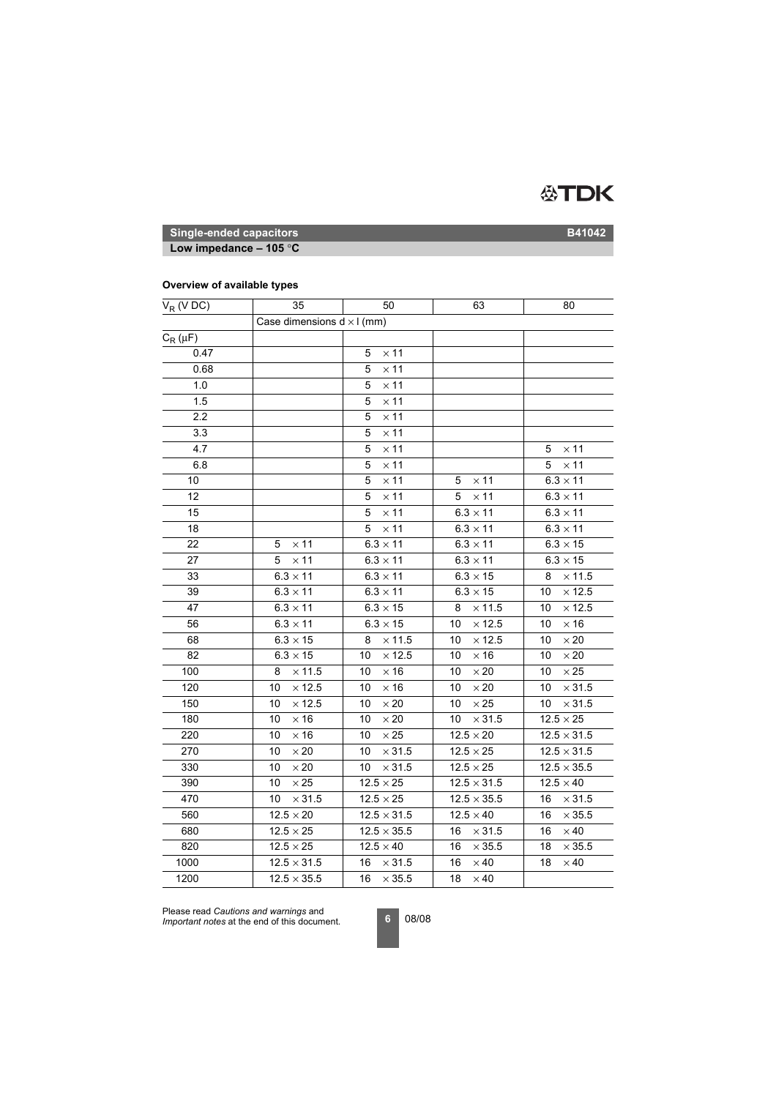

**Low impedance – 105** °**C**

## **Overview of available types**

| $V_R$ (V DC) | 35                                | 50                  | 63                  | 80                  |
|--------------|-----------------------------------|---------------------|---------------------|---------------------|
|              | Case dimensions $d \times l$ (mm) |                     |                     |                     |
| $C_R(\mu F)$ |                                   |                     |                     |                     |
| 0.47         |                                   | $\times$ 11<br>5    |                     |                     |
| 0.68         |                                   | $\times$ 11<br>5    |                     |                     |
| 1.0          |                                   | $\times$ 11<br>5    |                     |                     |
| 1.5          |                                   | $\times$ 11<br>5    |                     |                     |
| 2.2          |                                   | $\times$ 11<br>5    |                     |                     |
| 3.3          |                                   | $\times$ 11<br>5    |                     |                     |
| 4.7          |                                   | $\times$ 11<br>5    |                     | $\times$ 11<br>5    |
| 6.8          |                                   | 5<br>$\times$ 11    |                     | 5<br>$\times$ 11    |
| 10           |                                   | 5<br>$\times$ 11    | $\times$ 11<br>5    | $6.3 \times 11$     |
| 12           |                                   | $\times$ 11<br>5    | $\times$ 11<br>5    | $6.3 \times 11$     |
| 15           |                                   | $\times$ 11<br>5    | $6.3 \times 11$     | $6.3 \times 11$     |
| 18           |                                   | $\times$ 11<br>5    | $6.3 \times 11$     | $6.3 \times 11$     |
| 22           | $\times$ 11<br>5                  | $6.3 \times 11$     | $6.3 \times 11$     | $6.3 \times 15$     |
| 27           | $\times$ 11<br>5                  | $6.3 \times 11$     | $6.3 \times 11$     | $6.3 \times 15$     |
| 33           | $6.3 \times 11$                   | $6.3 \times 11$     | $6.3 \times 15$     | $\times$ 11.5<br>8  |
| 39           | $6.3 \times 11$                   | $6.3 \times 11$     | $6.3 \times 15$     | $\times$ 12.5<br>10 |
| 47           | $6.3 \times 11$                   | $6.3\times15$       | $\times$ 11.5<br>8  | $\times$ 12.5<br>10 |
| 56           | $6.3 \times 11$                   | $6.3 \times 15$     | $\times$ 12.5<br>10 | $\times$ 16<br>10   |
| 68           | $6.3 \times 15$                   | $\times$ 11.5<br>8  | $\times$ 12.5<br>10 | 10<br>$\times\,20$  |
| 82           | $6.3 \times 15$                   | $\times$ 12.5<br>10 | $\times$ 16<br>10   | $\times\,20$<br>10  |
| 100          | $\times$ 11.5<br>8                | $\times$ 16<br>10   | 10<br>$\times 20$   | $\times 25$<br>10   |
| 120          | $\times$ 12.5<br>10               | $\times$ 16<br>10   | $\times 20$<br>10   | $\times$ 31.5<br>10 |
| 150          | $\times$ 12.5<br>10               | 10<br>$\times 20$   | 10<br>$\times 25$   | $\times$ 31.5<br>10 |
| 180          | 10<br>$\times$ 16                 | $\times$ 20<br>10   | $\times$ 31.5<br>10 | $12.5 \times 25$    |
| 220          | $\times$ 16<br>10                 | 10<br>$\times\,25$  | $12.5 \times 20$    | $12.5 \times 31.5$  |
| 270          | 10<br>$\times 20$                 | $\times$ 31.5<br>10 | $12.5 \times 25$    | $12.5 \times 31.5$  |
| 330          | $\times 20$<br>10                 | $\times$ 31.5<br>10 | $12.5 \times 25$    | $12.5 \times 35.5$  |
| 390          | $\times\,25$<br>10                | $12.5 \times 25$    | $12.5 \times 31.5$  | $12.5 \times 40$    |
| 470          | $\times$ 31.5<br>10               | $12.5 \times 25$    | $12.5 \times 35.5$  | $\times$ 31.5<br>16 |
| 560          | $12.5 \times 20$                  | $12.5\times31.5$    | $12.5 \times 40$    | $\times$ 35.5<br>16 |
| 680          | $12.5\times25$                    | $12.5 \times 35.5$  | $\times$ 31.5<br>16 | $\times 40$<br>16   |
| 820          | $12.5\times25$                    | $12.5 \times 40$    | $\times$ 35.5<br>16 | $\times$ 35.5<br>18 |
| 1000         | $12.5 \times 31.5$                | 16<br>$\times$ 31.5 | 16<br>$\times$ 40   | $\times$ 40<br>18   |
| 1200         | $12.5 \times 35.5$                | 16<br>$\times$ 35.5 | 18<br>$\times$ 40   |                     |

Please read *Cautions and warnings* and *Important notes* at the end of this document.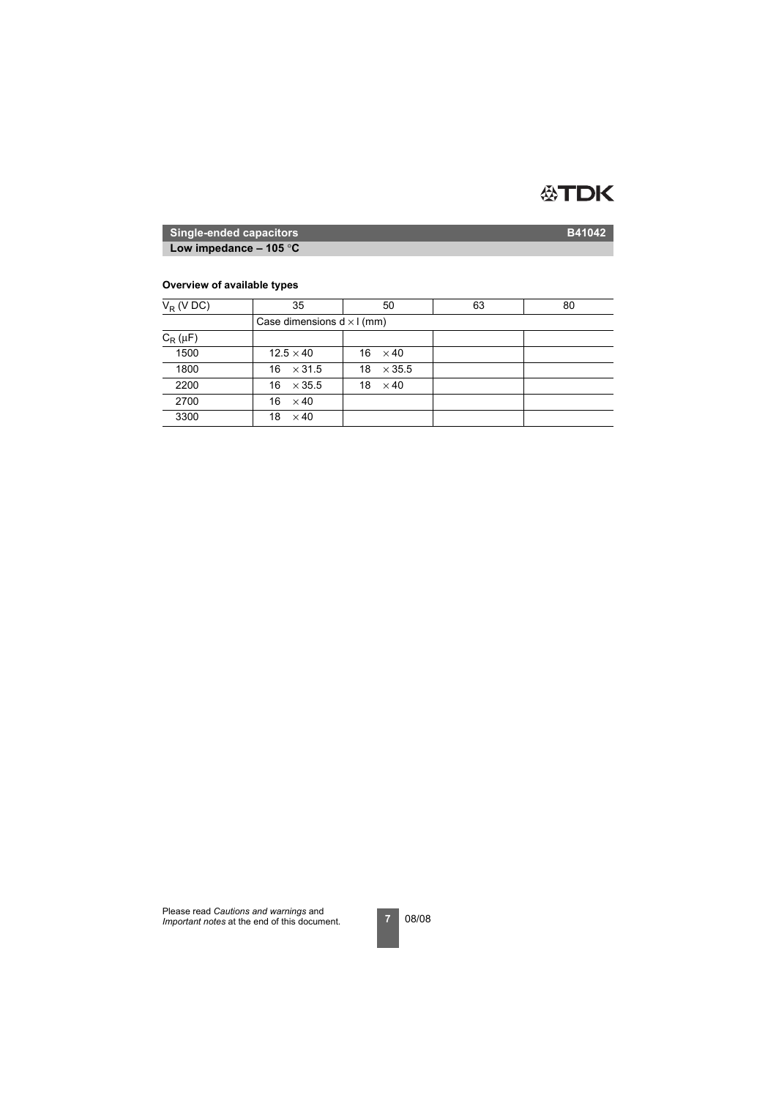

**Low impedance – 105** °**C**

## **Overview of available types**

| $V_R$ (V DC) | 35                  | 50                                | 63 | 80 |  |  |  |  |
|--------------|---------------------|-----------------------------------|----|----|--|--|--|--|
|              |                     | Case dimensions $d \times l$ (mm) |    |    |  |  |  |  |
| $C_R(\mu F)$ |                     |                                   |    |    |  |  |  |  |
| 1500         | $12.5 \times 40$    | $16 \times 40$                    |    |    |  |  |  |  |
| 1800         | $\times$ 31.5<br>16 | 18<br>$\times$ 35.5               |    |    |  |  |  |  |
| 2200         | $\times$ 35.5<br>16 | 18<br>$\times$ 40                 |    |    |  |  |  |  |
| 2700         | 16<br>$\times$ 40   |                                   |    |    |  |  |  |  |
| 3300         | $\times$ 40<br>18   |                                   |    |    |  |  |  |  |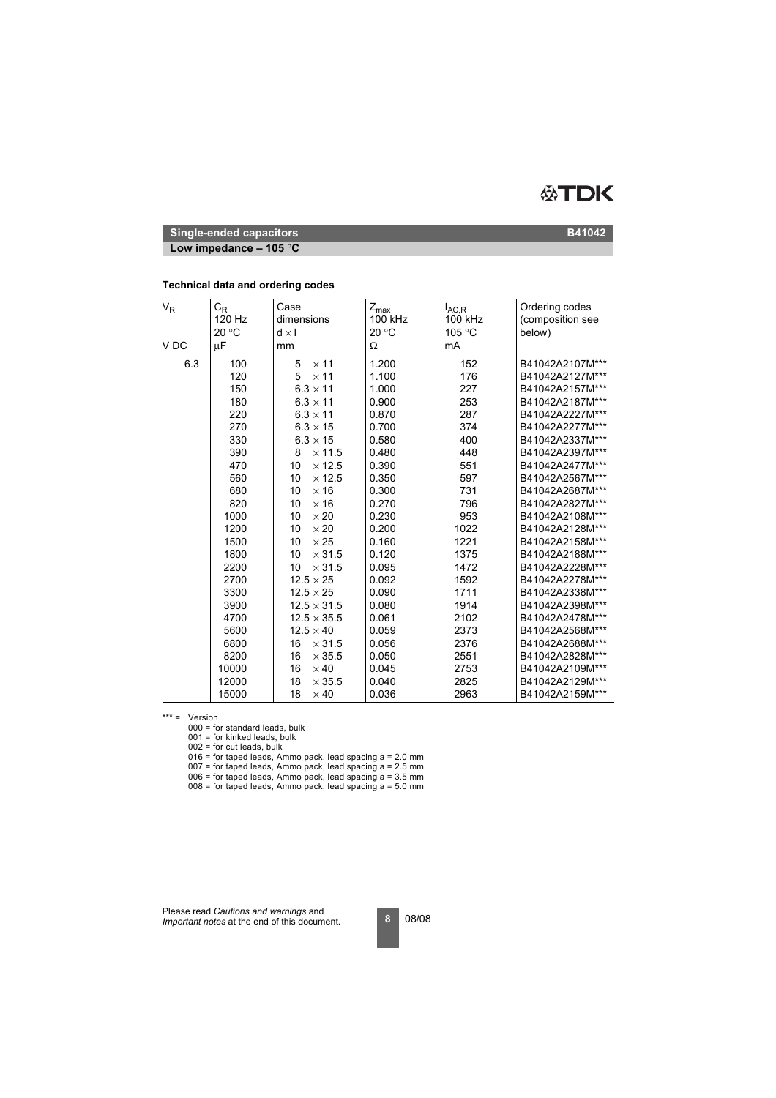

**Low impedance – 105** °**C**

| $V_R$<br>V <sub>DC</sub> | $\mathrm{C_{R}}$<br>120 Hz<br>20 °C<br>μF | Case<br>dimensions<br>$d \times I$<br>mm | $Z_{\text{max}}$<br>100 kHz<br>20 °C<br>Ω | $I_{AC,R}$<br>100 kHz<br>105 °C<br>mA | Ordering codes<br>(composition see<br>below) |
|--------------------------|-------------------------------------------|------------------------------------------|-------------------------------------------|---------------------------------------|----------------------------------------------|
|                          |                                           |                                          |                                           |                                       |                                              |
| 6.3                      | 100                                       | 5<br>$\times$ 11                         | 1.200                                     | 152                                   | B41042A2107M***                              |
|                          | 120                                       | 5<br>$\times$ 11                         | 1.100                                     | 176                                   | B41042A2127M***                              |
|                          | 150                                       | $6.3 \times 11$                          | 1.000                                     | 227                                   | B41042A2157M***                              |
|                          | 180                                       | $6.3 \times 11$                          | 0.900                                     | 253                                   | B41042A2187M***                              |
|                          | 220                                       | $6.3 \times 11$                          | 0.870                                     | 287                                   | B41042A2227M***                              |
|                          | 270                                       | $6.3 \times 15$                          | 0.700                                     | 374                                   | B41042A2277M***                              |
|                          | 330                                       | $6.3 \times 15$                          | 0.580                                     | 400                                   | B41042A2337M***                              |
|                          | 390                                       | $\times$ 11.5<br>8                       | 0.480                                     | 448                                   | B41042A2397M***                              |
|                          | 470                                       | 10<br>$\times$ 12.5                      | 0.390                                     | 551                                   | B41042A2477M***                              |
|                          | 560                                       | 10<br>$\times$ 12.5                      | 0.350                                     | 597                                   | B41042A2567M***                              |
|                          | 680                                       | $\times$ 16<br>10                        | 0.300                                     | 731                                   | B41042A2687M***                              |
|                          | 820                                       | 10<br>$\times$ 16                        | 0.270                                     | 796                                   | B41042A2827M***                              |
|                          | 1000                                      | 10<br>$\times 20$                        | 0.230                                     | 953                                   | B41042A2108M***                              |
|                          | 1200                                      | 10<br>$\times 20$                        | 0.200                                     | 1022                                  | B41042A2128M***                              |
|                          | 1500                                      | $\times 25$<br>10                        | 0.160                                     | 1221                                  | B41042A2158M***                              |
|                          | 1800                                      | 10<br>$\times$ 31.5                      | 0.120                                     | 1375                                  | B41042A2188M***                              |
|                          | 2200                                      | 10<br>$\times$ 31.5                      | 0.095                                     | 1472                                  | B41042A2228M***                              |
|                          | 2700                                      | $12.5 \times 25$                         | 0.092                                     | 1592                                  | B41042A2278M***                              |
|                          | 3300                                      | $12.5 \times 25$                         | 0.090                                     | 1711                                  | B41042A2338M***                              |
|                          | 3900                                      | $12.5 \times 31.5$                       | 0.080                                     | 1914                                  | B41042A2398M***                              |
|                          | 4700                                      | $12.5 \times 35.5$                       | 0.061                                     | 2102                                  | B41042A2478M***                              |
|                          | 5600                                      | $12.5 \times 40$                         | 0.059                                     | 2373                                  | B41042A2568M***                              |
|                          | 6800                                      | 16<br>$\times$ 31.5                      | 0.056                                     | 2376                                  | B41042A2688M***                              |
|                          | 8200                                      | 16<br>$\times$ 35.5                      | 0.050                                     | 2551                                  | B41042A2828M***                              |
|                          | 10000                                     | 16<br>$\times$ 40                        | 0.045                                     | 2753                                  | B41042A2109M***                              |
|                          | 12000                                     | 18<br>$\times$ 35.5                      | 0.040                                     | 2825                                  | B41042A2129M***                              |
|                          | 15000                                     | 18<br>$\times$ 40                        | 0.036                                     | 2963                                  | B41042A2159M***                              |

#### **Technical data and ordering codes**

\*\*\* = Version

000 = for standard leads, bulk

 $001$  = for kinked leads, bulk

002 = for cut leads, bulk

016 = for taped leads, Ammo pack, lead spacing a = 2.0 mm

 $007$  = for taped leads, Ammo pack, lead spacing a = 2.5 mm

006 = for taped leads, Ammo pack, lead spacing a = 3.5 mm

 $008$  = for taped leads, Ammo pack, lead spacing  $a = 5.0$  mm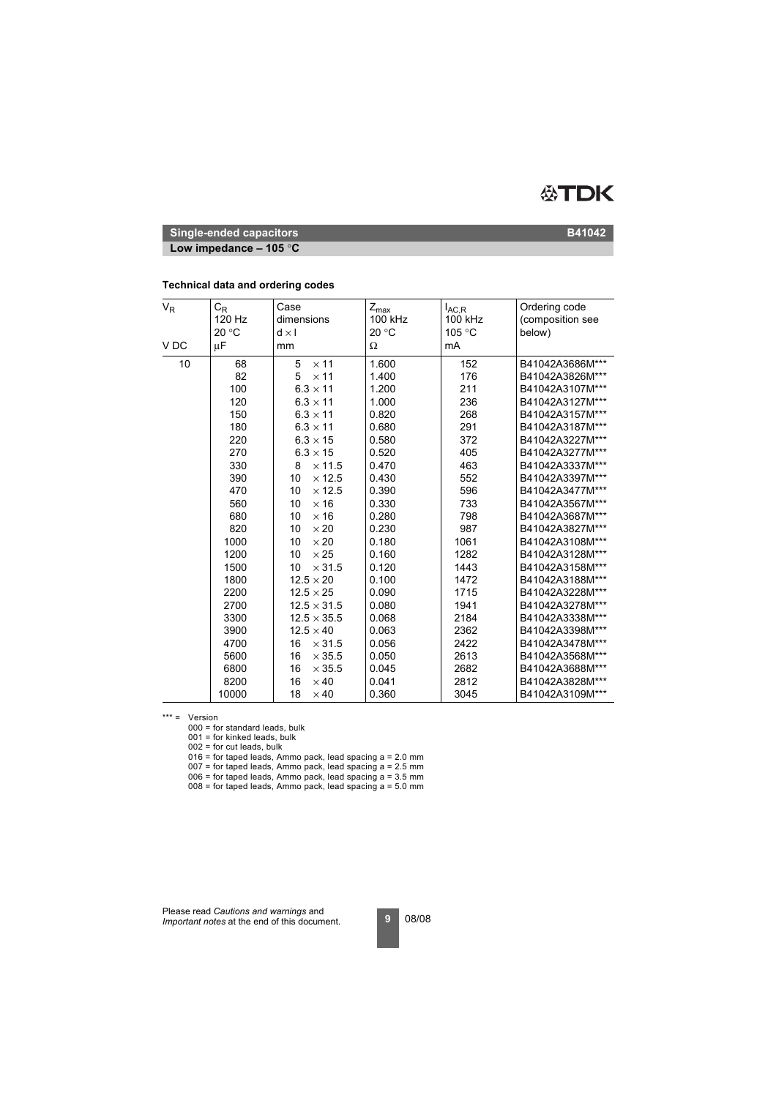

**Low impedance – 105** °**C**

| <b>Technical data and ordering codes</b> |  |  |  |  |
|------------------------------------------|--|--|--|--|
|------------------------------------------|--|--|--|--|

| $\mathsf{V}_{\mathsf{R}}$<br>V <sub>DC</sub> | $C_R$<br>120 Hz<br>20 °C<br>μF | Case<br>dimensions<br>$d \times I$<br>mm | $Z_{\sf max}$<br>100 kHz<br>20 °C<br>Ω | $I_{AC,R}$<br>100 kHz<br>105 °C<br>mA | Ordering code<br>(composition see<br>below) |
|----------------------------------------------|--------------------------------|------------------------------------------|----------------------------------------|---------------------------------------|---------------------------------------------|
|                                              |                                |                                          |                                        |                                       |                                             |
| 10                                           | 68                             | 5<br>$\times$ 11                         | 1.600                                  | 152                                   | B41042A3686M***                             |
|                                              | 82                             | $\times$ 11<br>5                         | 1.400                                  | 176                                   | B41042A3826M***                             |
|                                              | 100                            | $6.3 \times 11$                          | 1.200                                  | 211                                   | B41042A3107M***                             |
|                                              | 120                            | $6.3 \times 11$                          | 1.000                                  | 236                                   | B41042A3127M***                             |
|                                              | 150                            | $6.3 \times 11$                          | 0.820                                  | 268                                   | B41042A3157M***                             |
|                                              | 180                            | $6.3 \times 11$                          | 0.680                                  | 291                                   | B41042A3187M***                             |
|                                              | 220                            | $6.3 \times 15$                          | 0.580                                  | 372                                   | B41042A3227M***                             |
|                                              | 270                            | $6.3 \times 15$                          | 0.520                                  | 405                                   | B41042A3277M***                             |
|                                              | 330                            | 8<br>$\times$ 11.5                       | 0.470                                  | 463                                   | B41042A3337M***                             |
|                                              | 390                            | 10<br>$\times$ 12.5                      | 0.430                                  | 552                                   | B41042A3397M***                             |
|                                              | 470                            | 10<br>$\times$ 12.5                      | 0.390                                  | 596                                   | B41042A3477M***                             |
|                                              | 560                            | 10<br>$\times$ 16                        | 0.330                                  | 733                                   | B41042A3567M***                             |
|                                              | 680                            | 10<br>$\times$ 16                        | 0.280                                  | 798                                   | B41042A3687M***                             |
|                                              | 820                            | $\times 20$<br>10                        | 0.230                                  | 987                                   | B41042A3827M***                             |
|                                              | 1000                           | 10<br>$\times 20$                        | 0.180                                  | 1061                                  | B41042A3108M***                             |
|                                              | 1200                           | $\times 25$<br>10                        | 0.160                                  | 1282                                  | B41042A3128M***                             |
|                                              | 1500                           | $\times$ 31.5<br>10                      | 0.120                                  | 1443                                  | B41042A3158M***                             |
|                                              | 1800                           | $12.5 \times 20$                         | 0.100                                  | 1472                                  | B41042A3188M***                             |
|                                              | 2200                           | $12.5 \times 25$                         | 0.090                                  | 1715                                  | B41042A3228M***                             |
|                                              | 2700                           | $12.5 \times 31.5$                       | 0.080                                  | 1941                                  | B41042A3278M***                             |
|                                              | 3300                           | $12.5 \times 35.5$                       | 0.068                                  | 2184                                  | B41042A3338M***                             |
|                                              | 3900                           | $12.5 \times 40$                         | 0.063                                  | 2362                                  | B41042A3398M***                             |
|                                              | 4700                           | 16<br>$\times$ 31.5                      | 0.056                                  | 2422                                  | B41042A3478M***                             |
|                                              | 5600                           | 16<br>$\times$ 35.5                      | 0.050                                  | 2613                                  | B41042A3568M***                             |
|                                              | 6800                           | 16<br>$\times$ 35.5                      | 0.045                                  | 2682                                  | B41042A3688M***                             |
|                                              | 8200                           | 16<br>$\times$ 40                        | 0.041                                  | 2812                                  | B41042A3828M***                             |
|                                              | 10000                          | 18<br>$\times$ 40                        | 0.360                                  | 3045                                  | B41042A3109M***                             |

\*\*\* = Version

000 = for standard leads, bulk

 $001$  = for kinked leads, bulk

002 = for cut leads, bulk

016 = for taped leads, Ammo pack, lead spacing a = 2.0 mm

 $007$  = for taped leads, Ammo pack, lead spacing  $a = 2.5$  mm

006 = for taped leads, Ammo pack, lead spacing a = 3.5 mm  $008$  = for taped leads, Ammo pack, lead spacing  $a = 5.0$  mm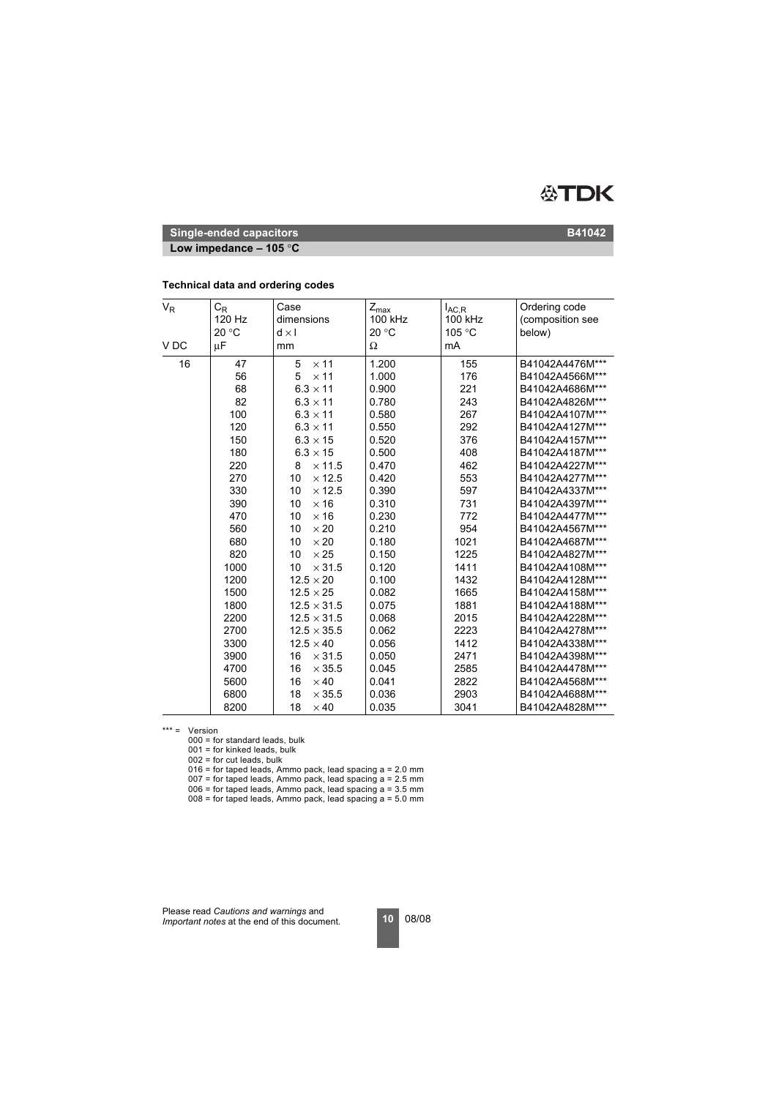

**Low impedance – 105** °**C**

| $V_R$           | $C_R$  | Case                | $Z_{\text{max}}$ | $I_{AC,R}$ | Ordering code    |
|-----------------|--------|---------------------|------------------|------------|------------------|
|                 | 120 Hz | dimensions          | 100 kHz          | 100 kHz    | (composition see |
|                 | 20 °C  | $d \times l$        | 20 °C            | 105 °C     | below)           |
| V <sub>DC</sub> | μF     | mm                  | Ω                | mA         |                  |
| 16              | 47     | 5<br>$\times$ 11    | 1.200            | 155        | B41042A4476M***  |
|                 | 56     | $\times$ 11<br>5    | 1.000            | 176        | B41042A4566M***  |
|                 | 68     | $6.3 \times 11$     | 0.900            | 221        | B41042A4686M***  |
|                 | 82     | $6.3 \times 11$     | 0.780            | 243        | B41042A4826M***  |
|                 | 100    | $6.3 \times 11$     | 0.580            | 267        | B41042A4107M***  |
|                 | 120    | $6.3 \times 11$     | 0.550            | 292        | B41042A4127M***  |
|                 | 150    | $6.3 \times 15$     | 0.520            | 376        | B41042A4157M***  |
|                 | 180    | $6.3 \times 15$     | 0.500            | 408        | B41042A4187M***  |
|                 | 220    | $\times$ 11.5<br>8  | 0.470            | 462        | B41042A4227M***  |
|                 | 270    | 10<br>$\times$ 12.5 | 0.420            | 553        | B41042A4277M***  |
|                 | 330    | $\times$ 12.5<br>10 | 0.390            | 597        | B41042A4337M***  |
|                 | 390    | $\times$ 16<br>10   | 0.310            | 731        | B41042A4397M***  |
|                 | 470    | 10<br>$\times$ 16   | 0.230            | 772        | B41042A4477M***  |
|                 | 560    | 10<br>$\times 20$   | 0.210            | 954        | B41042A4567M***  |
|                 | 680    | $\times 20$<br>10   | 0.180            | 1021       | B41042A4687M***  |
|                 | 820    | $\times 25$<br>10   | 0.150            | 1225       | B41042A4827M***  |
|                 | 1000   | $\times$ 31.5<br>10 | 0.120            | 1411       | B41042A4108M***  |
|                 | 1200   | $12.5 \times 20$    | 0.100            | 1432       | B41042A4128M***  |
|                 | 1500   | $12.5 \times 25$    | 0.082            | 1665       | B41042A4158M***  |
|                 | 1800   | $12.5 \times 31.5$  | 0.075            | 1881       | B41042A4188M***  |
|                 | 2200   | $12.5 \times 31.5$  | 0.068            | 2015       | B41042A4228M***  |
|                 | 2700   | $12.5 \times 35.5$  | 0.062            | 2223       | B41042A4278M***  |
|                 | 3300   | $12.5 \times 40$    | 0.056            | 1412       | B41042A4338M***  |
|                 | 3900   | 16<br>$\times$ 31.5 | 0.050            | 2471       | B41042A4398M***  |
|                 | 4700   | $\times$ 35.5<br>16 | 0.045            | 2585       | B41042A4478M***  |
|                 | 5600   | $\times$ 40<br>16   | 0.041            | 2822       | B41042A4568M***  |
|                 | 6800   | 18<br>$\times$ 35.5 | 0.036            | 2903       | B41042A4688M***  |
|                 | 8200   | 18<br>$\times$ 40   | 0.035            | 3041       | B41042A4828M***  |

#### **Technical data and ordering codes**

\*\*\* = Version

000 = for standard leads, bulk

 $001$  = for kinked leads, bulk

002 = for cut leads, bulk

 $016$  = for taped leads, Ammo pack, lead spacing  $a = 2.0$  mm

 $007$  = for taped leads, Ammo pack, lead spacing  $a = 2.5$  mm

 $006$  = for taped leads, Ammo pack, lead spacing  $a = 3.5$  mm

 $008$  = for taped leads, Ammo pack, lead spacing  $a = 5.0$  mm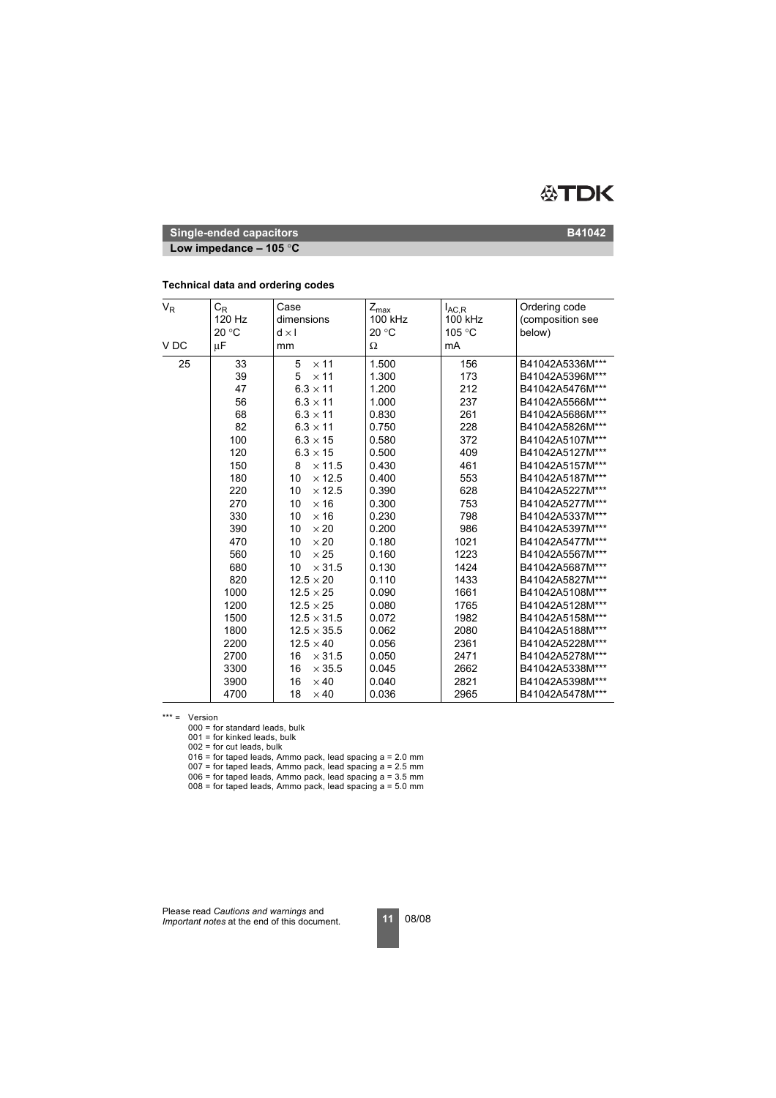

**Low impedance – 105** °**C**

| $V_R$           | $\mathtt{C_{R}}$<br>120 Hz<br>20 °C | Case<br>dimensions<br>$d \times l$ | $Z_{\text{max}}$<br>100 kHz<br>20 °C | $I_{AC,R}$<br>100 kHz<br>105 °C | Ordering code<br>(composition see<br>below) |
|-----------------|-------------------------------------|------------------------------------|--------------------------------------|---------------------------------|---------------------------------------------|
| V <sub>DC</sub> | $\mu$ F                             | mm                                 | Ω                                    | mA                              |                                             |
| 25              | 33                                  | 5<br>$\times$ 11                   | 1.500                                | 156                             | B41042A5336M***                             |
|                 | 39                                  | 5<br>$\times$ 11                   | 1.300                                | 173                             | B41042A5396M***                             |
|                 | 47                                  | $6.3 \times 11$                    | 1.200                                | 212                             | B41042A5476M***                             |
|                 | 56                                  | $6.3 \times 11$                    | 1.000                                | 237                             | B41042A5566M***                             |
|                 | 68                                  | $6.3 \times 11$                    | 0.830                                | 261                             | B41042A5686M***                             |
|                 | 82                                  | $6.3 \times 11$                    | 0.750                                | 228                             | B41042A5826M***                             |
|                 | 100                                 | $6.3 \times 15$                    | 0.580                                | 372                             | B41042A5107M***                             |
|                 | 120                                 | $6.3 \times 15$                    | 0.500                                | 409                             | B41042A5127M***                             |
|                 | 150                                 | $\times$ 11.5<br>8                 | 0.430                                | 461                             | B41042A5157M***                             |
|                 | 180                                 | 10<br>$\times$ 12.5                | 0.400                                | 553                             | B41042A5187M***                             |
|                 | 220                                 | 10<br>$\times$ 12.5                | 0.390                                | 628                             | B41042A5227M***                             |
|                 | 270                                 | $\times$ 16<br>10                  | 0.300                                | 753                             | B41042A5277M***                             |
|                 | 330                                 | 10<br>$\times$ 16                  | 0.230                                | 798                             | B41042A5337M***                             |
|                 | 390                                 | 10<br>$\times 20$                  | 0.200                                | 986                             | B41042A5397M***                             |
|                 | 470                                 | 10<br>$\times 20$                  | 0.180                                | 1021                            | B41042A5477M***                             |
|                 | 560                                 | 10<br>$\times 25$                  | 0.160                                | 1223                            | B41042A5567M***                             |
|                 | 680                                 | 10<br>$\times$ 31.5                | 0.130                                | 1424                            | B41042A5687M***                             |
|                 | 820                                 | $12.5 \times 20$                   | 0.110                                | 1433                            | B41042A5827M***                             |
|                 | 1000                                | $12.5 \times 25$                   | 0.090                                | 1661                            | B41042A5108M***                             |
|                 | 1200                                | $12.5 \times 25$                   | 0.080                                | 1765                            | B41042A5128M***                             |
|                 | 1500                                | $12.5 \times 31.5$                 | 0.072                                | 1982                            | B41042A5158M***                             |
|                 | 1800                                | $12.5 \times 35.5$                 | 0.062                                | 2080                            | B41042A5188M***                             |
|                 | 2200                                | $12.5 \times 40$                   | 0.056                                | 2361                            | B41042A5228M***                             |
|                 | 2700                                | 16<br>$\times$ 31.5                | 0.050                                | 2471                            | B41042A5278M***                             |
|                 | 3300                                | $\times$ 35.5<br>16                | 0.045                                | 2662                            | B41042A5338M***                             |
|                 | 3900                                | 16<br>$\times$ 40                  | 0.040                                | 2821                            | B41042A5398M***                             |
|                 | 4700                                | 18<br>$\times$ 40                  | 0.036                                | 2965                            | B41042A5478M***                             |

#### **Technical data and ordering codes**

\*\*\* = Version

000 = for standard leads, bulk

 $001$  = for kinked leads, bulk

002 = for cut leads, bulk

016 = for taped leads, Ammo pack, lead spacing a = 2.0 mm

 $007$  = for taped leads, Ammo pack, lead spacing a = 2.5 mm

006 = for taped leads, Ammo pack, lead spacing a = 3.5 mm  $008$  = for taped leads, Ammo pack, lead spacing  $a = 5.0$  mm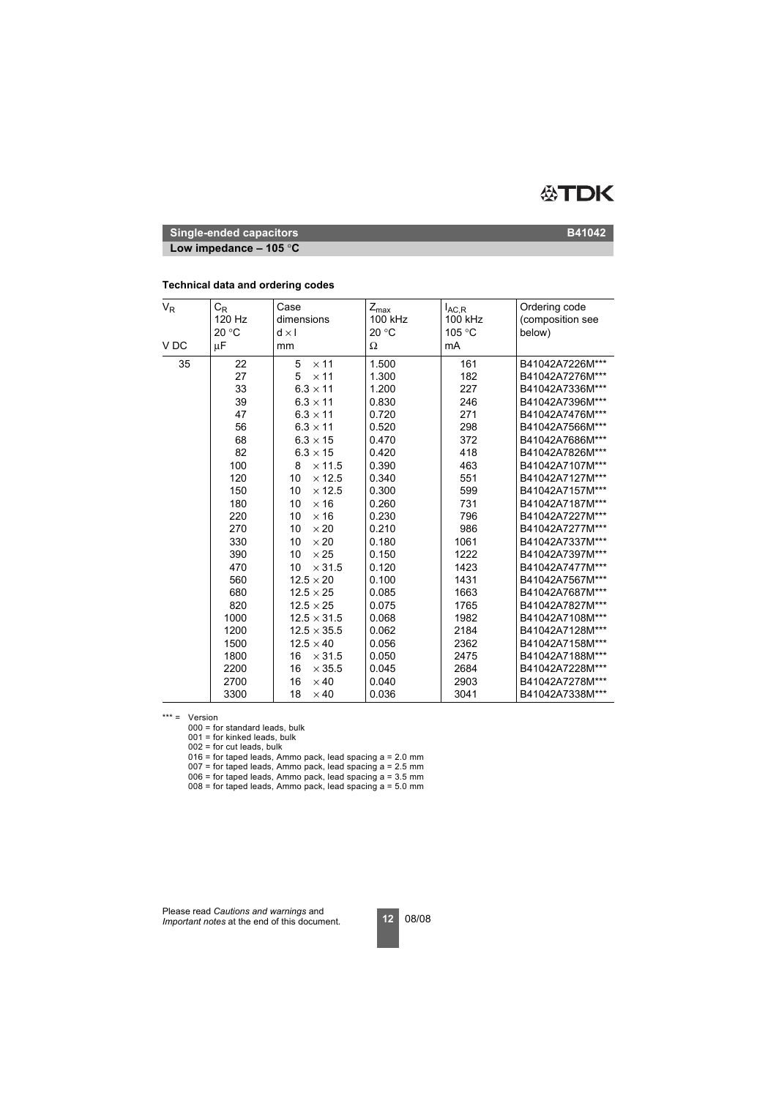

**Low impedance – 105** °**C**

| $V_R$           | $\mathtt{C_{R}}$<br>120 Hz<br>20 °C | Case<br>dimensions<br>$d \times l$ | $Z_{\text{max}}$<br>100 kHz<br>20 °C | $I_{AC,R}$<br>100 kHz<br>105 °C | Ordering code<br>(composition see<br>below) |
|-----------------|-------------------------------------|------------------------------------|--------------------------------------|---------------------------------|---------------------------------------------|
| V <sub>DC</sub> | $\mu$ F                             | mm                                 | Ω                                    | mA                              |                                             |
| 35              | 22                                  | 5<br>$\times$ 11                   | 1.500                                | 161                             | B41042A7226M***                             |
|                 | 27                                  | 5<br>$\times$ 11                   | 1.300                                | 182                             | B41042A7276M***                             |
|                 | 33                                  | $6.3 \times 11$                    | 1.200                                | 227                             | B41042A7336M***                             |
|                 | 39                                  | $6.3 \times 11$                    | 0.830                                | 246                             | B41042A7396M***                             |
|                 | 47                                  | $6.3 \times 11$                    | 0.720                                | 271                             | B41042A7476M***                             |
|                 | 56                                  | $6.3 \times 11$                    | 0.520                                | 298                             | B41042A7566M***                             |
|                 | 68                                  | $6.3 \times 15$                    | 0.470                                | 372                             | B41042A7686M***                             |
|                 | 82                                  | $6.3 \times 15$                    | 0.420                                | 418                             | B41042A7826M***                             |
|                 | 100                                 | $\times$ 11.5<br>8                 | 0.390                                | 463                             | B41042A7107M***                             |
|                 | 120                                 | 10<br>$\times$ 12.5                | 0.340                                | 551                             | B41042A7127M***                             |
|                 | 150                                 | 10<br>$\times$ 12.5                | 0.300                                | 599                             | B41042A7157M***                             |
|                 | 180                                 | $\times$ 16<br>10                  | 0.260                                | 731                             | B41042A7187M***                             |
|                 | 220                                 | 10<br>$\times$ 16                  | 0.230                                | 796                             | B41042A7227M***                             |
|                 | 270                                 | 10<br>$\times 20$                  | 0.210                                | 986                             | B41042A7277M***                             |
|                 | 330                                 | 10<br>$\times 20$                  | 0.180                                | 1061                            | B41042A7337M***                             |
|                 | 390                                 | 10<br>$\times 25$                  | 0.150                                | 1222                            | B41042A7397M***                             |
|                 | 470                                 | 10<br>$\times$ 31.5                | 0.120                                | 1423                            | B41042A7477M***                             |
|                 | 560                                 | $12.5 \times 20$                   | 0.100                                | 1431                            | B41042A7567M***                             |
|                 | 680                                 | $12.5 \times 25$                   | 0.085                                | 1663                            | B41042A7687M***                             |
|                 | 820                                 | $12.5 \times 25$                   | 0.075                                | 1765                            | B41042A7827M***                             |
|                 | 1000                                | $12.5 \times 31.5$                 | 0.068                                | 1982                            | B41042A7108M***                             |
|                 | 1200                                | $12.5 \times 35.5$                 | 0.062                                | 2184                            | B41042A7128M***                             |
|                 | 1500                                | $12.5 \times 40$                   | 0.056                                | 2362                            | B41042A7158M***                             |
|                 | 1800                                | 16<br>$\times$ 31.5                | 0.050                                | 2475                            | B41042A7188M***                             |
|                 | 2200                                | 16<br>$\times$ 35.5                | 0.045                                | 2684                            | B41042A7228M***                             |
|                 | 2700                                | 16<br>$\times$ 40                  | 0.040                                | 2903                            | B41042A7278M***                             |
|                 | 3300                                | 18<br>$\times$ 40                  | 0.036                                | 3041                            | B41042A7338M***                             |

#### **Technical data and ordering codes**

\*\*\* = Version

000 = for standard leads, bulk

 $001$  = for kinked leads, bulk

002 = for cut leads, bulk

016 = for taped leads, Ammo pack, lead spacing a = 2.0 mm

 $007$  = for taped leads, Ammo pack, lead spacing a = 2.5 mm

006 = for taped leads, Ammo pack, lead spacing a = 3.5 mm  $008$  = for taped leads, Ammo pack, lead spacing  $a = 5.0$  mm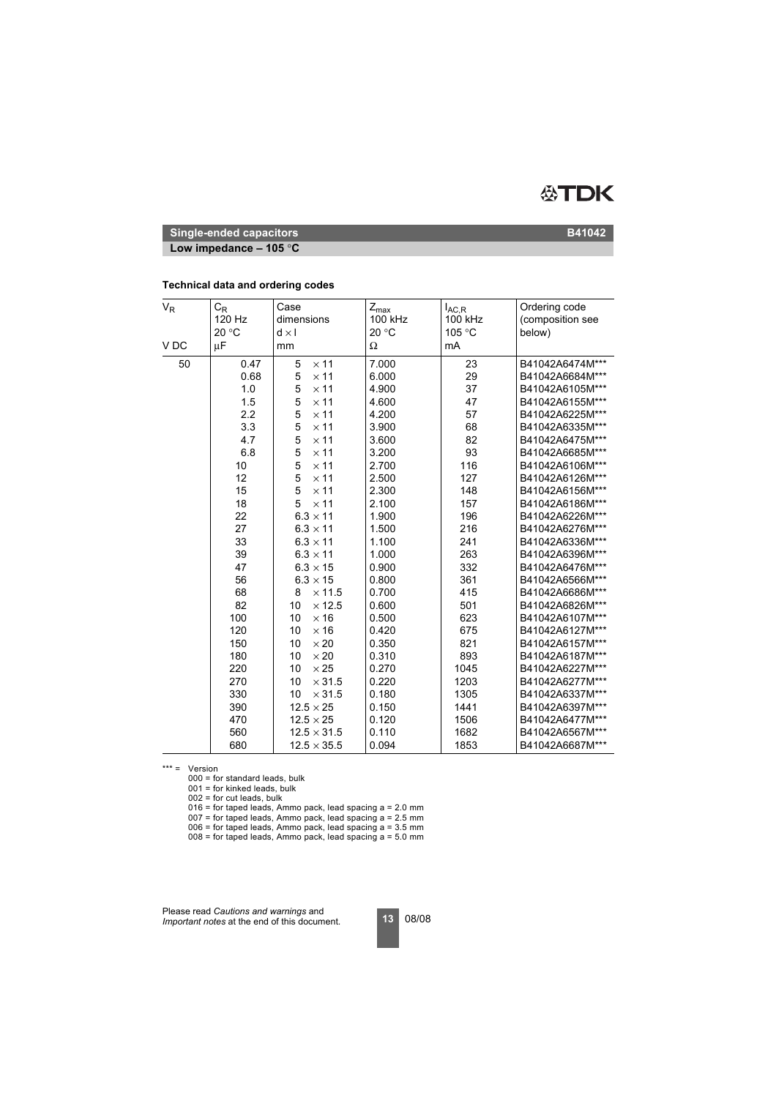

**Low impedance – 105** °**C**

#### **Technical data and ordering codes**

| $\mathsf{V}_{\mathsf{R}}$ | $C_R$<br>120 Hz<br>20 °C | Case<br>dimensions<br>$d \times I$ | $Z_{\text{max}}$<br>100 kHz<br>20 °C | $I_{AC,R}$<br>100 kHz<br>105 °C | Ordering code<br>(composition see<br>below) |
|---------------------------|--------------------------|------------------------------------|--------------------------------------|---------------------------------|---------------------------------------------|
| V <sub>DC</sub>           | μF                       | mm                                 | Ω                                    | mA                              |                                             |
| 50                        | 0.47                     | 5<br>$\times$ 11                   | 7.000                                | 23                              | B41042A6474M***                             |
|                           | 0.68                     | 5<br>$\times$ 11                   | 6.000                                | 29                              | B41042A6684M***                             |
|                           | 1.0                      | 5<br>$\times$ 11                   | 4.900                                | 37                              | B41042A6105M***                             |
|                           | 1.5                      | 5<br>$\times$ 11                   | 4.600                                | 47                              | B41042A6155M***                             |
|                           | 2.2                      | 5<br>$\times$ 11                   | 4.200                                | 57                              | B41042A6225M***                             |
|                           | 3.3                      | 5<br>$\times$ 11                   | 3.900                                | 68                              | B41042A6335M***                             |
|                           | 4.7                      | 5<br>$\times$ 11                   | 3.600                                | 82                              | B41042A6475M***                             |
|                           | 6.8                      | 5<br>$\times$ 11                   | 3.200                                | 93                              | B41042A6685M***                             |
|                           | 10                       | 5<br>$\times$ 11                   | 2.700                                | 116                             | B41042A6106M***                             |
|                           | 12                       | 5<br>$\times$ 11                   | 2.500                                | 127                             | B41042A6126M***                             |
|                           | 15                       | 5<br>$\times$ 11                   | 2.300                                | 148                             | B41042A6156M***                             |
|                           | 18                       | 5<br>$\times$ 11                   | 2.100                                | 157                             | B41042A6186M***                             |
|                           | 22                       | $6.3 \times 11$                    | 1.900                                | 196                             | B41042A6226M***                             |
|                           | 27                       | $6.3 \times 11$                    | 1.500                                | 216                             | B41042A6276M***                             |
|                           | 33                       | $6.3 \times 11$                    | 1.100                                | 241                             | B41042A6336M***                             |
|                           | 39                       | $6.3 \times 11$                    | 1.000                                | 263                             | B41042A6396M***                             |
|                           | 47                       | $6.3 \times 15$                    | 0.900                                | 332                             | B41042A6476M***                             |
|                           | 56                       | $6.3 \times 15$                    | 0.800                                | 361                             | B41042A6566M***                             |
|                           | 68                       | $\times$ 11.5<br>8                 | 0.700                                | 415                             | B41042A6686M***                             |
|                           | 82                       | 10<br>$\times$ 12.5                | 0.600                                | 501                             | B41042A6826M***                             |
|                           | 100                      | 10<br>$\times$ 16                  | 0.500                                | 623                             | B41042A6107M***                             |
|                           | 120                      | 10<br>$\times$ 16                  | 0.420                                | 675                             | B41042A6127M***                             |
|                           | 150                      | $\times 20$<br>10                  | 0.350                                | 821                             | B41042A6157M***                             |
|                           | 180                      | $\times 20$<br>10                  | 0.310                                | 893                             | B41042A6187M***                             |
|                           | 220                      | 10<br>$\times 25$                  | 0.270                                | 1045                            | B41042A6227M***                             |
|                           | 270                      | $\times$ 31.5<br>10                | 0.220                                | 1203                            | B41042A6277M***                             |
|                           | 330                      | $\times$ 31.5<br>10                | 0.180                                | 1305                            | B41042A6337M***                             |
|                           | 390                      | $12.5 \times 25$                   | 0.150                                | 1441                            | B41042A6397M***                             |
|                           | 470                      | $12.5 \times 25$                   | 0.120                                | 1506                            | B41042A6477M***                             |
|                           | 560                      | $12.5 \times 31.5$                 | 0.110                                | 1682                            | B41042A6567M***                             |
|                           | 680                      | $12.5 \times 35.5$                 | 0.094                                | 1853                            | B41042A6687M***                             |

\*\*\* = Version

000 = for standard leads, bulk

 $001$  = for kinked leads, bulk

 $002$  = for cut leads, bulk

 $016$  = for taped leads, Ammo pack, lead spacing a = 2.0 mm

007 = for taped leads, Ammo pack, lead spacing a = 2.5 mm

 $006$  = for taped leads, Ammo pack, lead spacing  $a = 3.5$  mm

 $008 =$  for taped leads, Ammo pack, lead spacing  $a = 5.0$  mm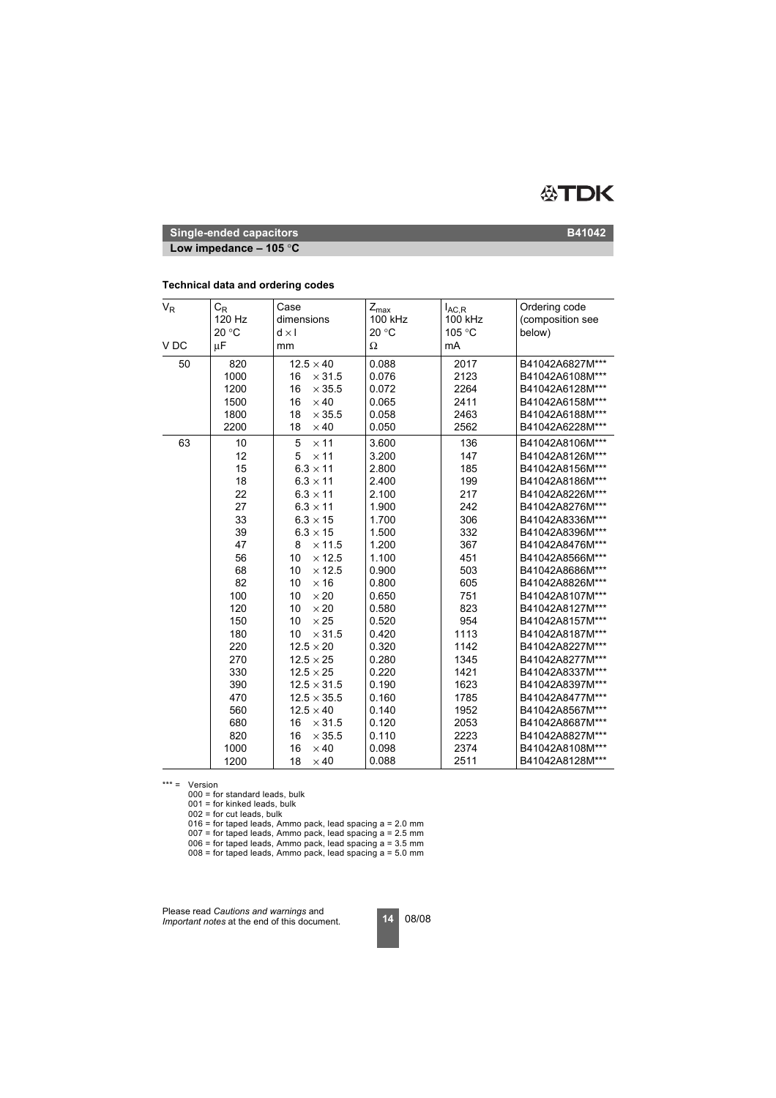

**Low impedance – 105** °**C**

#### **Technical data and ordering codes**

| $V_R$<br>V <sub>DC</sub> | $C_{\mathsf{R}}$<br>120 Hz<br>20 °C<br>μF | Case<br>dimensions<br>$d \times I$<br>mm                       | $Z_{\sf max}$<br>100 kHz<br>20 °C<br>Ω | $I_{AC,R}$<br>100 kHz<br>105 °C<br>mA | Ordering code<br>(composition see<br>below)           |
|--------------------------|-------------------------------------------|----------------------------------------------------------------|----------------------------------------|---------------------------------------|-------------------------------------------------------|
|                          |                                           |                                                                |                                        |                                       |                                                       |
| 50                       | 820<br>1000<br>1200                       | $12.5 \times 40$<br>$\times$ 31.5<br>16<br>16<br>$\times$ 35.5 | 0.088<br>0.076<br>0.072                | 2017<br>2123<br>2264                  | B41042A6827M***<br>B41042A6108M***<br>B41042A6128M*** |
|                          | 1500                                      | 16<br>$\times$ 40                                              | 0.065                                  | 2411                                  | B41042A6158M***                                       |
|                          | 1800                                      | 18<br>$\times$ 35.5                                            | 0.058                                  | 2463                                  | B41042A6188M***                                       |
|                          | 2200                                      | 18<br>$\times$ 40                                              | 0.050                                  | 2562                                  | B41042A6228M***                                       |
| 63                       | 10<br>12                                  | 5<br>$\times$ 11<br>$\times$ 11<br>5                           | 3.600<br>3.200                         | 136<br>147                            | B41042A8106M***<br>B41042A8126M***                    |
|                          | 15                                        | $6.3 \times 11$                                                | 2.800                                  | 185                                   | B41042A8156M***                                       |
|                          | 18                                        | $6.3 \times 11$                                                | 2.400                                  | 199                                   | B41042A8186M***                                       |
|                          | 22                                        | $6.3 \times 11$                                                | 2.100                                  | 217                                   | B41042A8226M***                                       |
|                          | 27                                        | $6.3 \times 11$                                                | 1.900                                  | 242                                   | B41042A8276M***                                       |
|                          | 33                                        | $6.3 \times 15$                                                | 1.700                                  | 306                                   | B41042A8336M***                                       |
|                          | 39                                        | $6.3 \times 15$                                                | 1.500                                  | 332                                   | B41042A8396M***                                       |
|                          | 47                                        | $\times$ 11.5<br>8                                             | 1.200                                  | 367                                   | B41042A8476M***                                       |
|                          | 56                                        | 10<br>$\times$ 12.5                                            | 1.100                                  | 451                                   | B41042A8566M***                                       |
|                          | 68                                        | 10<br>$\times$ 12.5                                            | 0.900                                  | 503                                   | B41042A8686M***                                       |
|                          | 82                                        | 10<br>$\times$ 16                                              | 0.800                                  | 605                                   | B41042A8826M***                                       |
|                          | 100                                       | 10<br>$\times 20$                                              | 0.650                                  | 751                                   | B41042A8107M***                                       |
|                          | 120                                       | 10<br>$\times 20$                                              | 0.580                                  | 823                                   | B41042A8127M***                                       |
|                          | 150                                       | 10<br>$\times 25$                                              | 0.520                                  | 954                                   | B41042A8157M***                                       |
|                          | 180                                       | 10<br>$\times$ 31.5                                            | 0.420                                  | 1113                                  | B41042A8187M***                                       |
|                          | 220                                       | $12.5 \times 20$                                               | 0.320                                  | 1142                                  | B41042A8227M***                                       |
|                          | 270                                       | $12.5 \times 25$                                               | 0.280                                  | 1345                                  | B41042A8277M***                                       |
|                          | 330                                       | $12.5 \times 25$                                               | 0.220                                  | 1421                                  | B41042A8337M***                                       |
|                          | 390                                       | $12.5 \times 31.5$                                             | 0.190                                  | 1623                                  | B41042A8397M***                                       |
|                          | 470                                       | $12.5 \times 35.5$                                             | 0.160                                  | 1785                                  | B41042A8477M***                                       |
|                          | 560                                       | $12.5 \times 40$                                               | 0.140                                  | 1952                                  | B41042A8567M***                                       |
|                          | 680                                       | $\times$ 31.5<br>16                                            | 0.120                                  | 2053                                  | B41042A8687M***                                       |
|                          | 820                                       | 16<br>$\times$ 35.5                                            | 0.110                                  | 2223                                  | B41042A8827M***                                       |
|                          | 1000                                      | 16<br>$\times$ 40                                              | 0.098                                  | 2374                                  | B41042A8108M***                                       |
|                          | 1200                                      | 18<br>$\times$ 40                                              | 0.088                                  | 2511                                  | B41042A8128M***                                       |

\*\*\* = Version

000 = for standard leads, bulk

001 = for kinked leads, bulk

002 = for cut leads, bulk

016 = for taped leads, Ammo pack, lead spacing a = 2.0 mm

 $007$  = for taped leads, Ammo pack, lead spacing a = 2.5 mm

- $006$  = for taped leads, Ammo pack, lead spacing  $a = 3.5$  mm
- $008$  = for taped leads, Ammo pack, lead spacing  $a = 5.0$  mm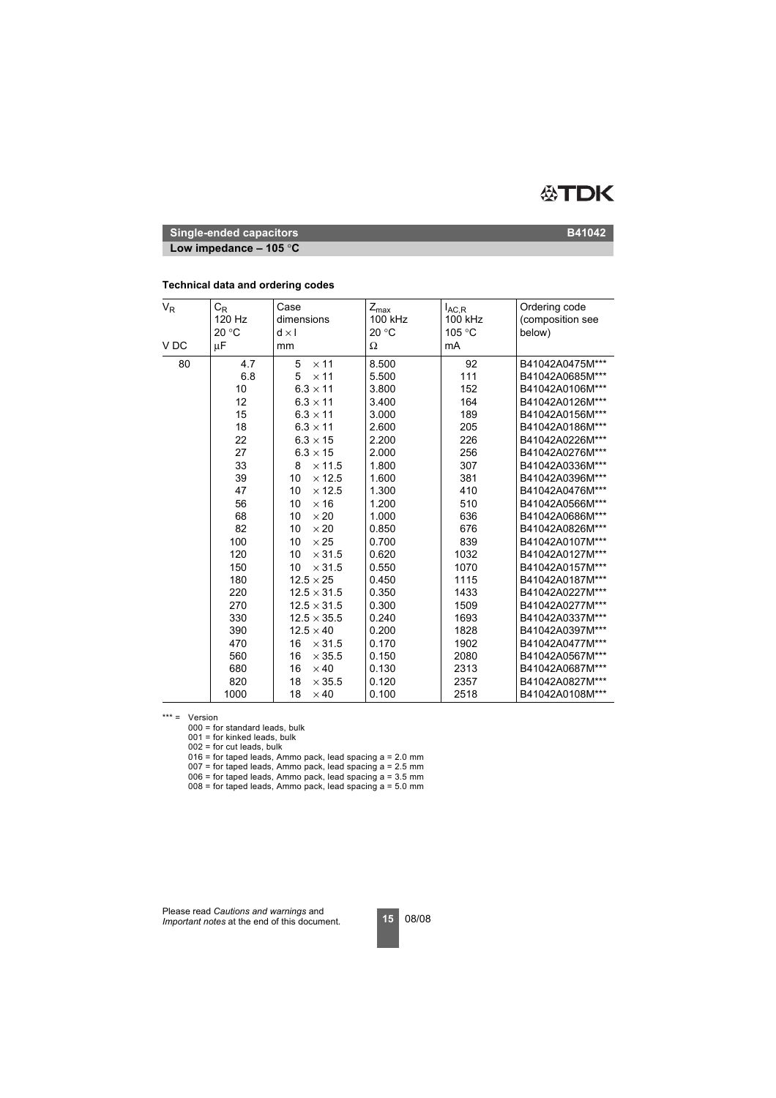

**Low impedance – 105** °**C**

#### **Technical data and ordering codes**

| $V_R$           | $C_{R}$<br>120 Hz<br>20 °C | Case<br>dimensions<br>$d \times I$ | $Z_{\text{max}}$<br>100 kHz<br>20 °C | $I_{AC,R}$<br>100 kHz<br>105 °C | Ordering code<br>(composition see<br>below) |
|-----------------|----------------------------|------------------------------------|--------------------------------------|---------------------------------|---------------------------------------------|
| V <sub>DC</sub> | μF                         | mm                                 | Ω                                    | mA                              |                                             |
| 80              | 4.7                        | 5<br>$\times$ 11                   | 8.500                                | 92                              | B41042A0475M***                             |
|                 | 6.8                        | 5<br>$\times$ 11                   | 5.500                                | 111                             | B41042A0685M***                             |
|                 | 10                         | $6.3 \times 11$                    | 3.800                                | 152                             | B41042A0106M***                             |
|                 | 12                         | $6.3 \times 11$                    | 3.400                                | 164                             | B41042A0126M***                             |
|                 | 15                         | $6.3 \times 11$                    | 3.000                                | 189                             | B41042A0156M***                             |
|                 | 18                         | $6.3 \times 11$                    | 2.600                                | 205                             | B41042A0186M***                             |
|                 | 22                         | $6.3 \times 15$                    | 2.200                                | 226                             | B41042A0226M***                             |
|                 | 27                         | $6.3 \times 15$                    | 2.000                                | 256                             | B41042A0276M***                             |
|                 | 33                         | $\times$ 11.5<br>8                 | 1.800                                | 307                             | B41042A0336M***                             |
|                 | 39                         | $\times$ 12.5<br>10                | 1.600                                | 381                             | B41042A0396M***                             |
|                 | 47                         | 10<br>$\times$ 12.5                | 1.300                                | 410                             | B41042A0476M***                             |
|                 | 56                         | $\times$ 16<br>10                  | 1.200                                | 510                             | B41042A0566M***                             |
|                 | 68                         | 10<br>$\times 20$                  | 1.000                                | 636                             | B41042A0686M***                             |
|                 | 82                         | $\times 20$<br>10                  | 0.850                                | 676                             | B41042A0826M***                             |
|                 | 100                        | $\times 25$<br>10                  | 0.700                                | 839                             | B41042A0107M***                             |
|                 | 120                        | 10<br>$\times$ 31.5                | 0.620                                | 1032                            | B41042A0127M***                             |
|                 | 150                        | 10<br>$\times$ 31.5                | 0.550                                | 1070                            | B41042A0157M***                             |
|                 | 180                        | $12.5 \times 25$                   | 0.450                                | 1115                            | B41042A0187M***                             |
|                 | 220                        | $12.5 \times 31.5$                 | 0.350                                | 1433                            | B41042A0227M***                             |
|                 | 270                        | $12.5 \times 31.5$                 | 0.300                                | 1509                            | B41042A0277M***                             |
|                 | 330                        | $12.5 \times 35.5$                 | 0.240                                | 1693                            | B41042A0337M***                             |
|                 | 390                        | $12.5 \times 40$                   | 0.200                                | 1828                            | B41042A0397M***                             |
|                 | 470                        | 16<br>$\times$ 31.5                | 0.170                                | 1902                            | B41042A0477M***                             |
|                 | 560                        | 16<br>$\times$ 35.5                | 0.150                                | 2080                            | B41042A0567M***                             |
|                 | 680                        | 16<br>$\times$ 40                  | 0.130                                | 2313                            | B41042A0687M***                             |
|                 | 820                        | 18<br>$\times$ 35.5                | 0.120                                | 2357                            | B41042A0827M***                             |
|                 | 1000                       | 18<br>$\times$ 40                  | 0.100                                | 2518                            | B41042A0108M***                             |

\*\*\* = Version

000 = for standard leads, bulk

 $001$  = for kinked leads, bulk

002 = for cut leads, bulk

016 = for taped leads, Ammo pack, lead spacing a = 2.0 mm

 $007$  = for taped leads, Ammo pack, lead spacing a = 2.5 mm

006 = for taped leads, Ammo pack, lead spacing a = 3.5 mm

 $008$  = for taped leads, Ammo pack, lead spacing  $a = 5.0$  mm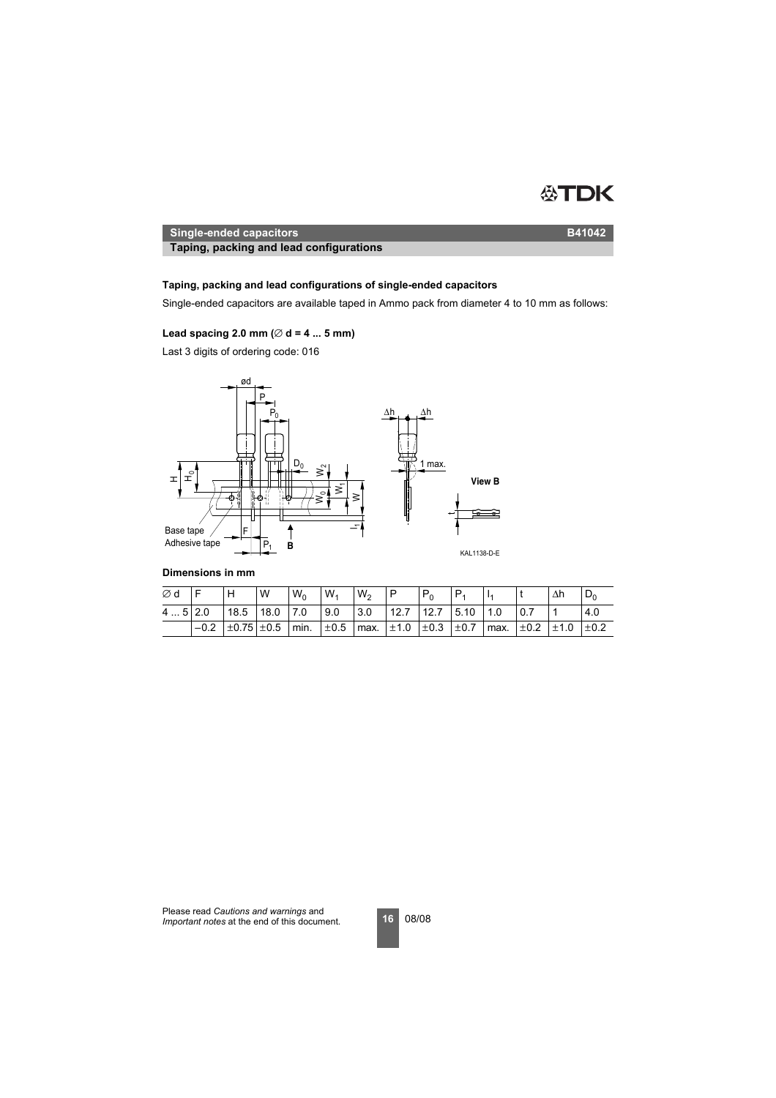

**Taping, packing and lead configurations Taping, packing and lead configurations**

## **Taping, packing and lead configurations of single-ended capacitors**

Single-ended capacitors are available taped in Ammo pack from diameter 4 to 10 mm as follows:

## Lead spacing 2.0 mm ( $\varnothing$  d = 4 ... 5 mm)

Last 3 digits of ordering code: 016



#### **Dimensions in mm**

| Ød         |        | H                       | W | $W_0$            | $W_1$     | W <sub>2</sub> | . P                                         | $P_0$ |                      |  | Δh                                               | $D_0$ |
|------------|--------|-------------------------|---|------------------|-----------|----------------|---------------------------------------------|-------|----------------------|--|--------------------------------------------------|-------|
| $45$   2.0 |        | $18.5$ 18.0             |   | $\overline{7.0}$ | l 9.0     | 3.0            |                                             |       | $12.7$ 12.7 5.10 1.0 |  |                                                  | 4.0   |
|            | $-0.2$ | $\pm 0.75 \pm 0.5$ min. |   |                  | $\pm 0.5$ |                | $\text{max.}$ $\pm 1.0$ $\pm 0.3$ $\pm 0.7$ |       |                      |  | $\frac{1}{2}$ max. $\pm 0.2$ $\pm 1.0$ $\pm 0.2$ |       |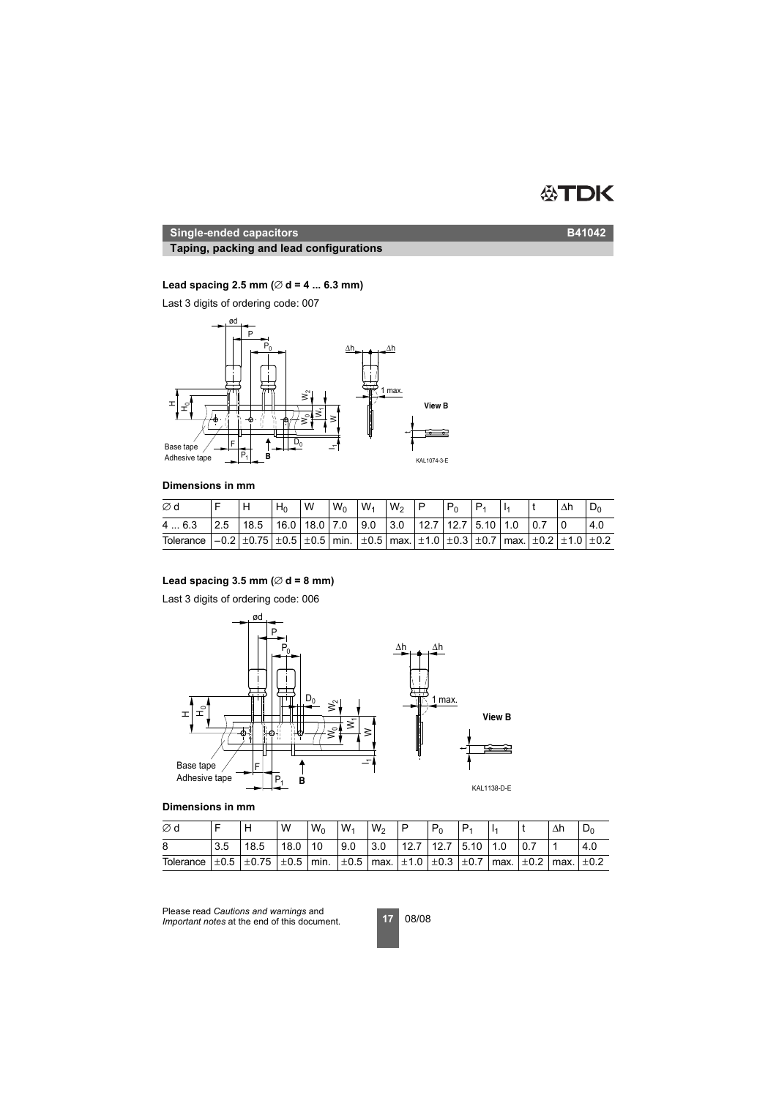# **ATDK**

## **Single-ended capacitors B41042**

## **Taping, packing and lead configurations**

## **Lead spacing 2.5 mm (**∅ **d = 4 ... 6.3 mm)**

Last 3 digits of ordering code: 007



## **Dimensions in mm**

| Ød                                                                                                                                                                                                               |                                                                                                                                 | $H_0$ | W | $W_0$ | $W_1$ | $W_2$ | $P_{0}$ |  |  |     |
|------------------------------------------------------------------------------------------------------------------------------------------------------------------------------------------------------------------|---------------------------------------------------------------------------------------------------------------------------------|-------|---|-------|-------|-------|---------|--|--|-----|
| 46.3                                                                                                                                                                                                             | $\vert 2.5 \vert 18.5 \vert 16.0 \vert 18.0 \vert 7.0 \vert 9.0 \vert 3.0 \vert 12.7 \vert 12.7 \vert 5.10 \vert 1.0 \vert 0.7$ |       |   |       |       |       |         |  |  | 4.0 |
| Tolerance $\vert -0.2 \vert \pm 0.75 \vert \pm 0.5 \vert \pm 0.5 \vert$ min. $\vert \pm 0.5 \vert$ max. $\vert \pm 1.0 \vert \pm 0.3 \vert \pm 0.7 \vert$ max. $\vert \pm 0.2 \vert \pm 1.0 \vert \pm 0.2 \vert$ |                                                                                                                                 |       |   |       |       |       |         |  |  |     |

## Lead spacing  $3.5$  mm ( $\varnothing$  d = 8 mm)

Last 3 digits of ordering code: 006



## **Dimensions in mm**

| Ød        |     | Н                                                                                                              | W    | $W_0$ | $W_1$ | $W_2$ | P                        |  |  | Δh | ⊃   |
|-----------|-----|----------------------------------------------------------------------------------------------------------------|------|-------|-------|-------|--------------------------|--|--|----|-----|
| 8         | 3.5 | 18.5                                                                                                           | 18.0 | 10    | 9.0   | 3.0   | 12.7   12.7   5.10   1.0 |  |  |    | 4.0 |
| Tolerance |     | $\pm 0.5$ $\pm 0.75$ $\pm 0.5$ min. $\pm 0.5$ max. $\pm 1.0$ $\pm 0.3$ $\pm 0.7$ max. $\pm 0.2$ max. $\pm 0.2$ |      |       |       |       |                          |  |  |    |     |

Please read *Cautions and warnings* and *Important notes* at the end of this document.

**17** 08/08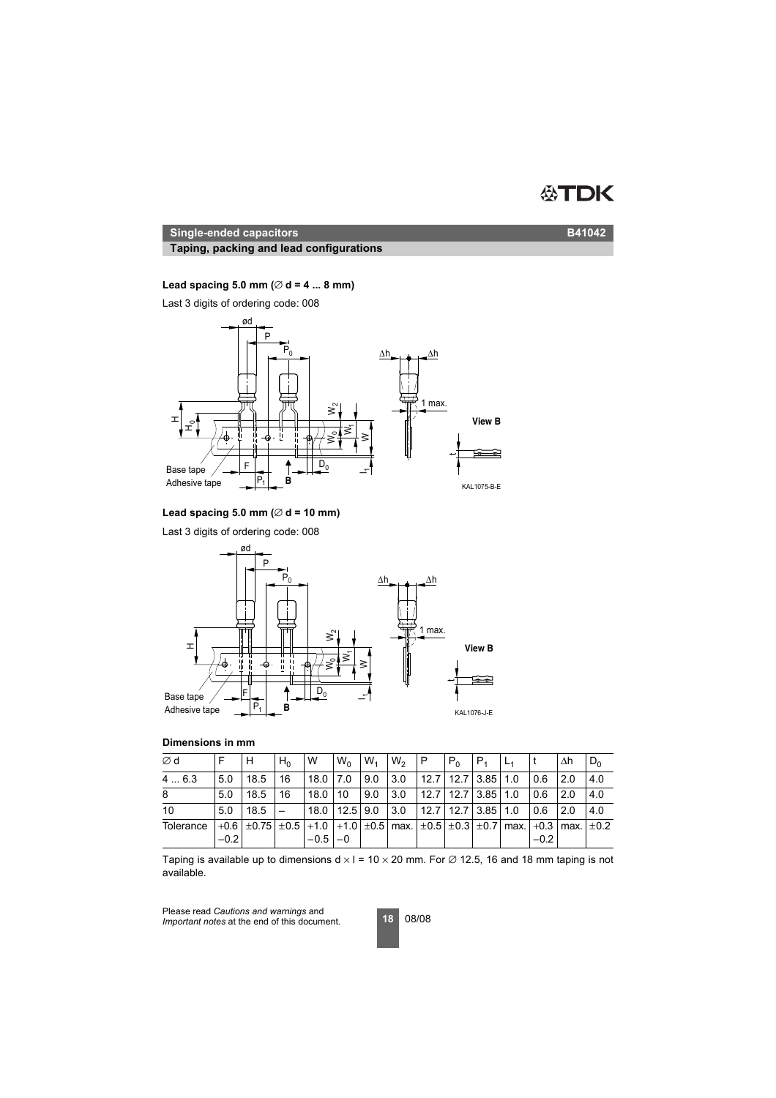#### DK 怂

#### **Single-ended capacitors B41042**

## **Taping, packing and lead configurations**

## **Lead spacing 5.0 mm (**∅ **d = 4 ... 8 mm)**

Last 3 digits of ordering code: 008



#### **Lead spacing 5.0 mm (**∅ **d = 10 mm)**

Last 3 digits of ordering code: 008



## **Dimensions in mm**

| ∅d        |        |                                                                                                                   | $H_0$ | W                         | $W_0$ | $W_1$ | $W_2$ | IP.                        | $P_0$ | IP <sub>1</sub> |        | Λh   | $D_0$ |
|-----------|--------|-------------------------------------------------------------------------------------------------------------------|-------|---------------------------|-------|-------|-------|----------------------------|-------|-----------------|--------|------|-------|
| 4  6.3    | 50     | 18.5                                                                                                              | 16    | 18.0 7.0                  |       | 9.0   | 3.0   | $12.7$   12.7   3.85   1.0 |       |                 | 0.6    | 12.0 | 4.0   |
| 8         | 5.0    | 18.5                                                                                                              | 16    | 18.0                      | 10    | 9.0   | 3.0   | $12.7$   12.7   3.85   1.0 |       |                 | 0.6    | 2.0  | 4.0   |
| 10        | 5.0    | $18.5 -$                                                                                                          |       | $18.0$   12.5   9.0   3.0 |       |       |       | $12.7$   12.7   3.85   1.0 |       |                 | 0.6    | 12.0 | 4.0   |
| Tolerance | $-0.2$ | $+0.6$ $\pm$ 0.75 $\pm$ 0.5 $+1.0$ $+1.0$ $\pm$ 0.5 max. $\pm$ 0.5 $\pm$ 0.3 $\pm$ 0.7 max. $+0.3$ max. $\pm$ 0.2 |       | $-0.5$ $-0$               |       |       |       |                            |       |                 | $-0.2$ |      |       |

Taping is available up to dimensions  $d \times l = 10 \times 20$  mm. For  $\varnothing$  12.5, 16 and 18 mm taping is not available.

Please read *Cautions and warnings* and *Important notes* at the end of this document.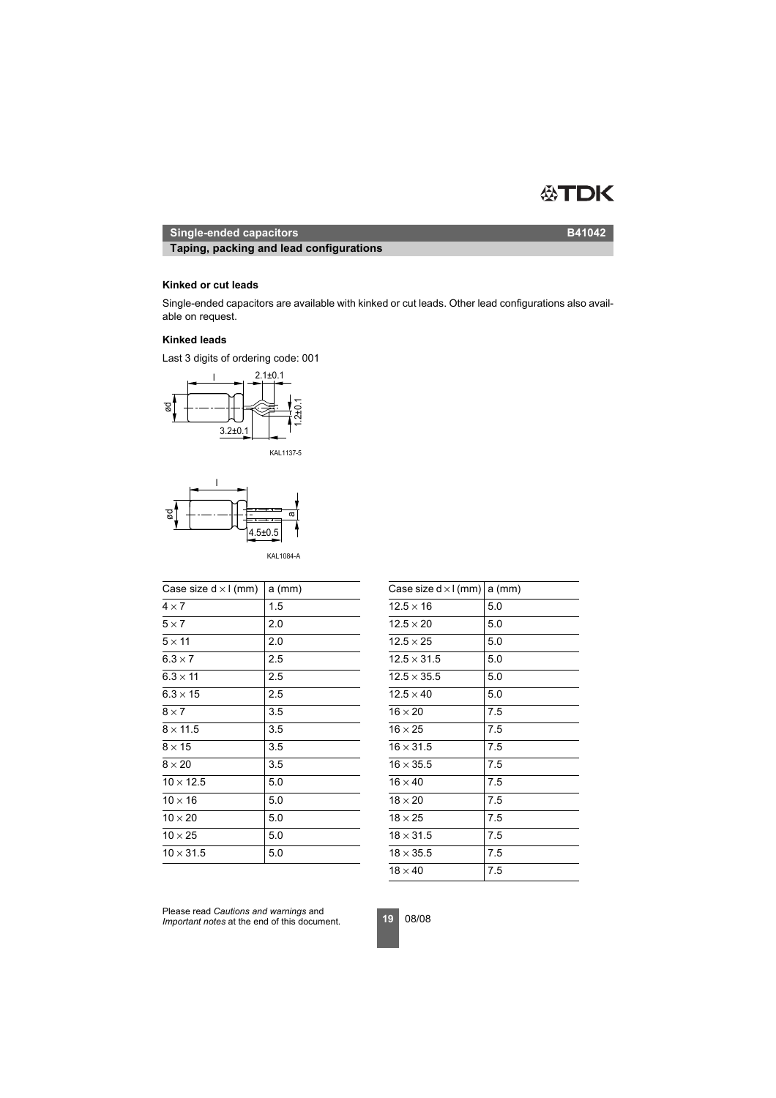#### ÆN ЭK

## **Single-ended capacitors B41042**

**Taping, packing and lead configurations**

## **Kinked or cut leads**

Single-ended capacitors are available with kinked or cut leads. Other lead configurations also available on request.

#### **Kinked leads**

Last 3 digits of ordering code: 001







KAL1084-A

| Case size $d \times l$ (mm) | $a$ (mm) | Case size $d \times l$ (mm) a (mm) |     |
|-----------------------------|----------|------------------------------------|-----|
| $4 \times 7$                | 1.5      | $12.5 \times 16$                   | 5.0 |
| $5 \times 7$                | 2.0      | $12.5 \times 20$                   | 5.0 |
| $5 \times 11$               | 2.0      | $12.5 \times 25$                   | 5.0 |
| $6.3 \times 7$              | 2.5      | $12.5 \times 31.5$                 | 5.0 |
| $6.3 \times 11$             | 2.5      | $12.5 \times 35.5$                 | 5.0 |
| $6.3 \times 15$             | 2.5      | $12.5 \times 40$                   | 5.0 |
| $8 \times 7$                | 3.5      | $16 \times 20$                     | 7.5 |
| $8 \times 11.5$             | 3.5      | $16 \times 25$                     | 7.5 |
| $8 \times 15$               | 3.5      | $16 \times 31.5$                   | 7.5 |
| $8 \times 20$               | 3.5      | $16 \times 35.5$                   | 7.5 |
| $10 \times 12.5$            | 5.0      | $16 \times 40$                     | 7.5 |
| $10 \times 16$              | 5.0      | $18 \times 20$                     | 7.5 |
| $10 \times 20$              | 5.0      | $18 \times 25$                     | 7.5 |
| $10 \times 25$              | 5.0      | $18 \times 31.5$                   | 7.5 |
| $10 \times 31.5$            | 5.0      | $18 \times 35.5$                   | 7.5 |
|                             |          |                                    |     |

| Case size $d \times l$ (mm) a (mm) |     |
|------------------------------------|-----|
| $12.5 \times 16$                   | 5.0 |
| $12.5 \times 20$                   | 5.0 |
| $12.5 \times 25$                   | 5.0 |
| $12.5 \times 31.5$                 | 5.0 |
| $12.5 \times 35.5$                 | 5.0 |
| $12.5 \times 40$                   | 5.0 |
| $16 \times 20$                     | 7.5 |
| $16 \times 25$                     | 7.5 |
| $16 \times 31.5$                   | 7.5 |
| $16 \times 35.5$                   | 7.5 |
| $16 \times 40$                     | 7.5 |
| $18 \times 20$                     | 7.5 |
| $18 \times 25$                     | 7.5 |
| $18 \times 31.5$                   | 7.5 |
| $18 \times 35.5$                   | 7.5 |
| $18 \times 40$                     | 7.5 |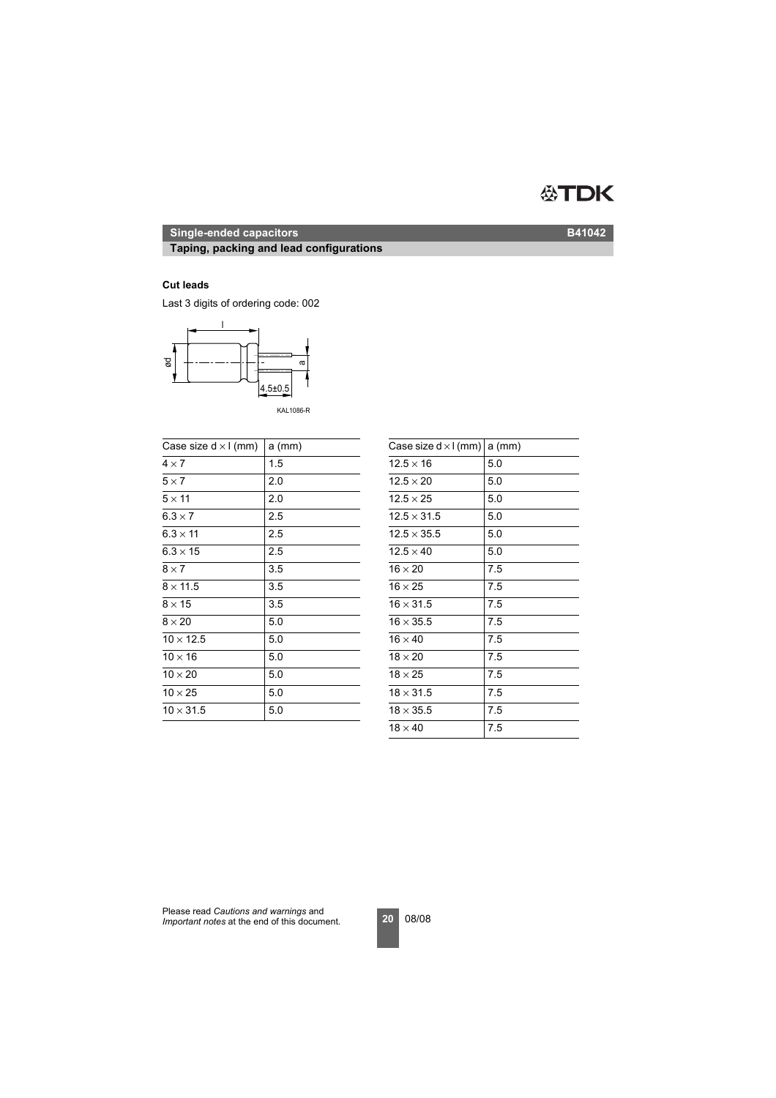# **ATDK**

# **Single-ended capacitors B41042**

## **Taping, packing and lead configurations**

#### **Cut leads**

Last 3 digits of ordering code: 002



KAL1086-R

| Case size $d \times l$ (mm) | $a$ (mm) | Case size $d \times l$ (mm) a (mm) |     |
|-----------------------------|----------|------------------------------------|-----|
| $4 \times 7$                | 1.5      | $12.5 \times 16$                   | 5.0 |
| $5 \times 7$                | 2.0      | $12.5 \times 20$                   | 5.0 |
| $5 \times 11$               | 2.0      | $12.5 \times 25$                   | 5.0 |
| $6.3 \times 7$              | 2.5      | $12.5 \times 31.5$                 | 5.0 |
| $6.3 \times 11$             | 2.5      | $12.5 \times 35.5$                 | 5.0 |
| $6.3 \times 15$             | 2.5      | $12.5 \times 40$                   | 5.0 |
| $8 \times 7$                | 3.5      | $16 \times 20$                     | 7.5 |
| $8 \times 11.5$             | 3.5      | $16 \times 25$                     | 7.5 |
| $8 \times 15$               | 3.5      | $16 \times 31.5$                   | 7.5 |
| $8 \times 20$               | 5.0      | $16 \times 35.5$                   | 7.5 |
| $10 \times 12.5$            | 5.0      | $16 \times 40$                     | 7.5 |
| $10 \times 16$              | 5.0      | $18 \times 20$                     | 7.5 |
| $10 \times 20$              | 5.0      | $18 \times 25$                     | 7.5 |
| $10 \times 25$              | 5.0      | $18 \times 31.5$                   | 7.5 |
| $10 \times 31.5$            | 5.0      | $18 \times 35.5$                   | 7.5 |
|                             |          |                                    |     |

| Case size $d \times l$ (mm) | $a$ (mm) |
|-----------------------------|----------|
| $12.5 \times 16$            | 5.0      |
| $12.5 \times 20$            | 5.0      |
| $12.5 \times 25$            | 5.0      |
| $12.5 \times 31.5$          | 5.0      |
| $12.5 \times 35.5$          | 5.0      |
| $12.5 \times 40$            | 5.0      |
| $16 \times 20$              | 7.5      |
| $16 \times 25$              | 7.5      |
| $16 \times 31.5$            | 7.5      |
| $16 \times 35.5$            | 7.5      |
| $16 \times 40$              | 7.5      |
| $18 \times 20$              | 7.5      |
| $18 \times 25$              | 7.5      |
| $18 \times 31.5$            | 7.5      |
| $18 \times 35.5$            | 7.5      |
| $18 \times 40$              | 7.5      |
|                             |          |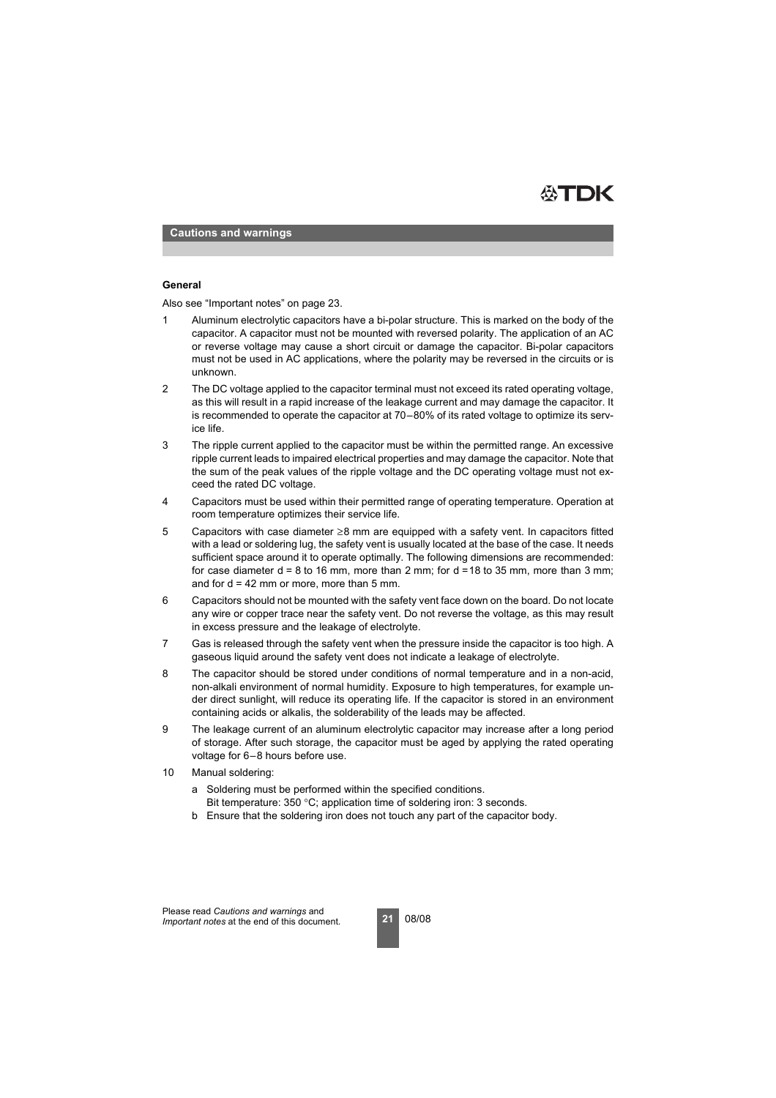

**Cautions and warnings**

#### **General**

Also see "Important notes" on page 23.

- 1 Aluminum electrolytic capacitors have a bi-polar structure. This is marked on the body of the capacitor. A capacitor must not be mounted with reversed polarity. The application of an AC or reverse voltage may cause a short circuit or damage the capacitor. Bi-polar capacitors must not be used in AC applications, where the polarity may be reversed in the circuits or is unknown.
- 2 The DC voltage applied to the capacitor terminal must not exceed its rated operating voltage, as this will result in a rapid increase of the leakage current and may damage the capacitor. It is recommended to operate the capacitor at 70–80% of its rated voltage to optimize its service life.
- 3 The ripple current applied to the capacitor must be within the permitted range. An excessive ripple current leads to impaired electrical properties and may damage the capacitor. Note that the sum of the peak values of the ripple voltage and the DC operating voltage must not exceed the rated DC voltage.
- 4 Capacitors must be used within their permitted range of operating temperature. Operation at room temperature optimizes their service life.
- 5 Capacitors with case diameter ≥8 mm are equipped with a safety vent. In capacitors fitted with a lead or soldering lug, the safety vent is usually located at the base of the case. It needs sufficient space around it to operate optimally. The following dimensions are recommended: for case diameter  $d = 8$  to 16 mm, more than 2 mm; for  $d = 18$  to 35 mm, more than 3 mm; and for  $d = 42$  mm or more, more than 5 mm.
- 6 Capacitors should not be mounted with the safety vent face down on the board. Do not locate any wire or copper trace near the safety vent. Do not reverse the voltage, as this may result in excess pressure and the leakage of electrolyte.
- 7 Gas is released through the safety vent when the pressure inside the capacitor is too high. A gaseous liquid around the safety vent does not indicate a leakage of electrolyte.
- 8 The capacitor should be stored under conditions of normal temperature and in a non-acid, non-alkali environment of normal humidity. Exposure to high temperatures, for example under direct sunlight, will reduce its operating life. If the capacitor is stored in an environment containing acids or alkalis, the solderability of the leads may be affected.
- 9 The leakage current of an aluminum electrolytic capacitor may increase after a long period of storage. After such storage, the capacitor must be aged by applying the rated operating voltage for 6–8 hours before use.
- 10 Manual soldering:
	- a Soldering must be performed within the specified conditions. Bit temperature: 350 °C; application time of soldering iron: 3 seconds.
	- b Ensure that the soldering iron does not touch any part of the capacitor body.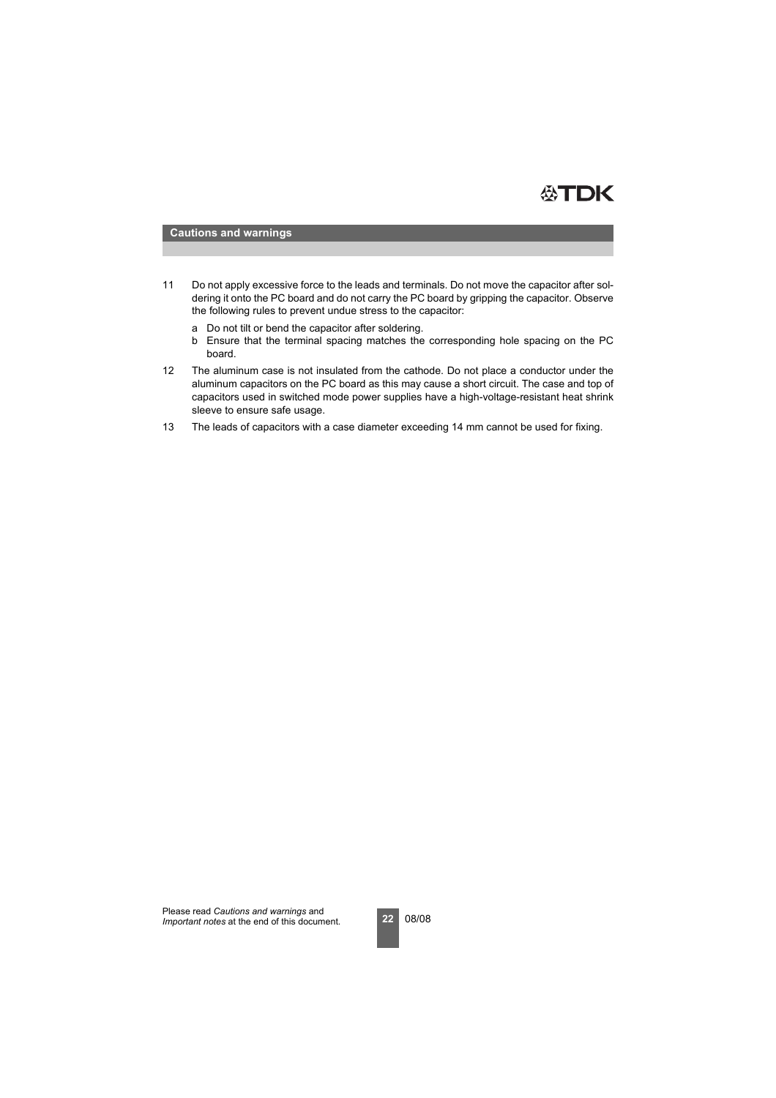

#### **Cautions and warnings**

- 11 Do not apply excessive force to the leads and terminals. Do not move the capacitor after soldering it onto the PC board and do not carry the PC board by gripping the capacitor. Observe the following rules to prevent undue stress to the capacitor:
	- a Do not tilt or bend the capacitor after soldering.
	- b Ensure that the terminal spacing matches the corresponding hole spacing on the PC board.
- 12 The aluminum case is not insulated from the cathode. Do not place a conductor under the aluminum capacitors on the PC board as this may cause a short circuit. The case and top of capacitors used in switched mode power supplies have a high-voltage-resistant heat shrink sleeve to ensure safe usage.
- 13 The leads of capacitors with a case diameter exceeding 14 mm cannot be used for fixing.